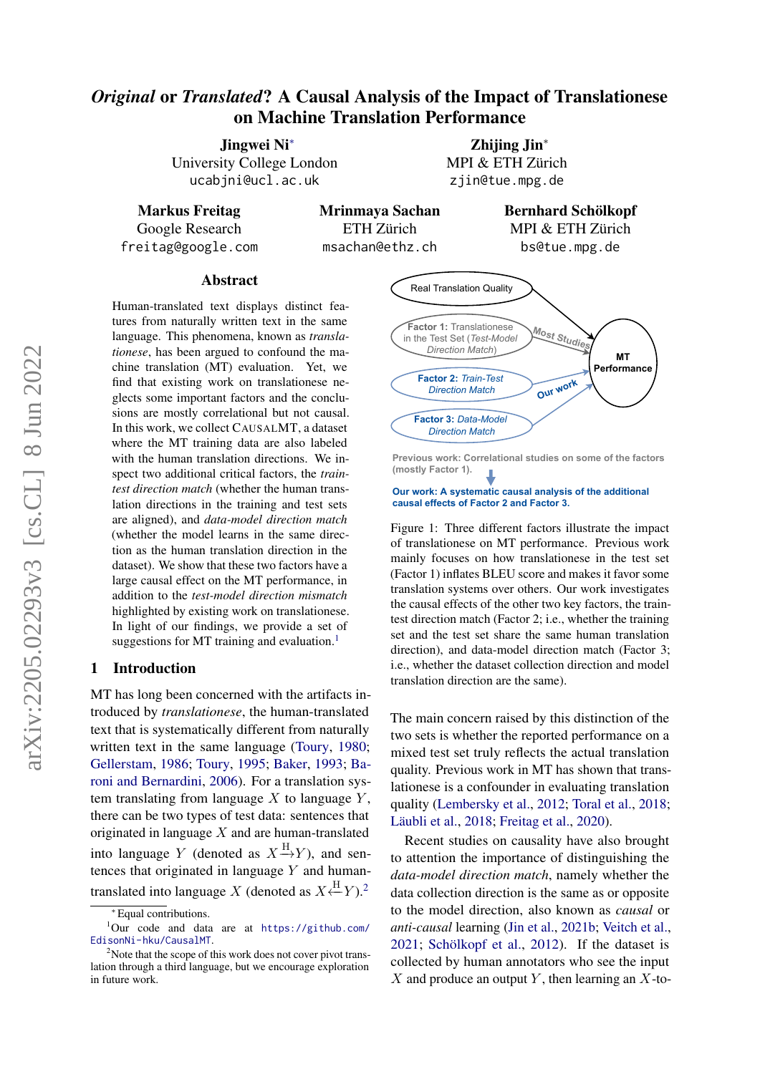# *Original* or *Translated*? A Causal Analysis of the Impact of Translationese on Machine Translation Performance

Jingwei Ni<sup>∗</sup> University College London ucabjni@ucl.ac.uk

Zhijing Jin<sup>∗</sup> MPI & ETH Zürich zjin@tue.mpg.de

Markus Freitag Google Research freitag@google.com Mrinmaya Sachan ETH Zürich msachan@ethz.ch

Bernhard Schölkopf MPI & ETH Zürich bs@tue.mpg.de

### Abstract

Human-translated text displays distinct features from naturally written text in the same language. This phenomena, known as *translationese*, has been argued to confound the machine translation (MT) evaluation. Yet, we find that existing work on translationese neglects some important factors and the conclusions are mostly correlational but not causal. In this work, we collect CAUSALMT, a dataset where the MT training data are also labeled with the human translation directions. We inspect two additional critical factors, the *traintest direction match* (whether the human translation directions in the training and test sets are aligned), and *data-model direction match* (whether the model learns in the same direction as the human translation direction in the dataset). We show that these two factors have a large causal effect on the MT performance, in addition to the *test-model direction mismatch* highlighted by existing work on translationese. In light of our findings, we provide a set of suggestions for MT training and evaluation.<sup>[1](#page-0-0)</sup>

### 1 Introduction

MT has long been concerned with the artifacts introduced by *translationese*, the human-translated text that is systematically different from naturally written text in the same language [\(Toury,](#page-13-0) [1980;](#page-13-0) [Gellerstam,](#page-11-0) [1986;](#page-11-0) [Toury,](#page-13-1) [1995;](#page-13-1) [Baker,](#page-10-0) [1993;](#page-10-0) [Ba](#page-10-1)[roni and Bernardini,](#page-10-1) [2006\)](#page-10-1). For a translation system translating from language  $X$  to language  $Y$ , there can be two types of test data: sentences that originated in language  $X$  and are human-translated into language Y (denoted as  $X \xrightarrow{H} Y$ ), and sentences that originated in language Y and humantranslated into language X (denoted as  $X \stackrel{\text{H}}{\leftarrow} Y$ ).<sup>[2](#page-0-1)</sup>

<span id="page-0-2"></span>

**Previous work: Correlational studies on some of the factors (mostly Factor 1).**

#### **Our work: A systematic causal analysis of the additional causal effects of Factor 2 and Factor 3.**

Figure 1: Three different factors illustrate the impact of translationese on MT performance. Previous work mainly focuses on how translationese in the test set (Factor 1) inflates BLEU score and makes it favor some translation systems over others. Our work investigates the causal effects of the other two key factors, the traintest direction match (Factor 2; i.e., whether the training set and the test set share the same human translation direction), and data-model direction match (Factor 3; i.e., whether the dataset collection direction and model translation direction are the same).

The main concern raised by this distinction of the two sets is whether the reported performance on a mixed test set truly reflects the actual translation quality. Previous work in MT has shown that translationese is a confounder in evaluating translation quality [\(Lembersky et al.,](#page-12-0) [2012;](#page-12-0) [Toral et al.,](#page-13-2) [2018;](#page-13-2) [Läubli et al.,](#page-11-1) [2018;](#page-11-1) [Freitag et al.,](#page-10-2) [2020\)](#page-10-2).

Recent studies on causality have also brought to attention the importance of distinguishing the *data-model direction match*, namely whether the data collection direction is the same as or opposite to the model direction, also known as *causal* or *anti-causal* learning [\(Jin et al.,](#page-11-2) [2021b;](#page-11-2) [Veitch et al.,](#page-13-3) [2021;](#page-13-3) [Schölkopf et al.,](#page-12-1) [2012\)](#page-12-1). If the dataset is collected by human annotators who see the input  $X$  and produce an output Y, then learning an  $X$ -to-

<span id="page-0-0"></span><sup>∗</sup> Equal contributions.

<sup>1</sup>Our code and data are at [https://github.com/](https://github.com/EdisonNi-hku/CausalMT) [EdisonNi-hku/CausalMT](https://github.com/EdisonNi-hku/CausalMT).

<span id="page-0-1"></span> $2^2$ Note that the scope of this work does not cover pivot translation through a third language, but we encourage exploration in future work.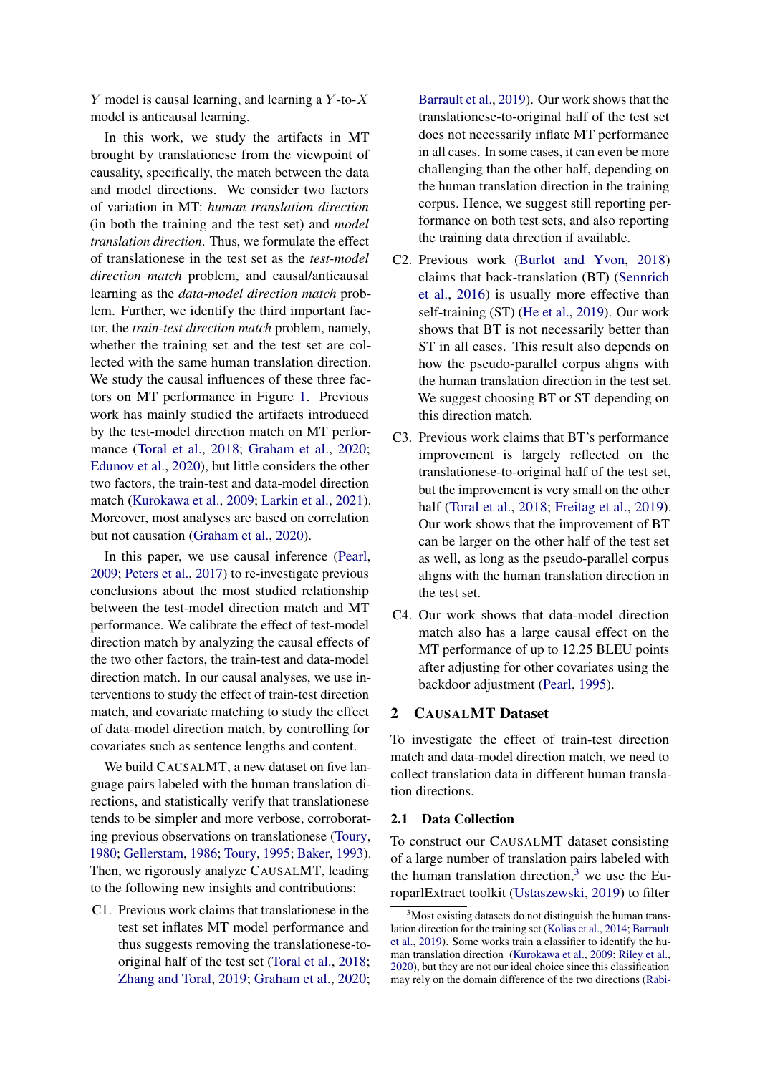Y model is causal learning, and learning a  $Y$ -to- $X$ model is anticausal learning.

In this work, we study the artifacts in MT brought by translationese from the viewpoint of causality, specifically, the match between the data and model directions. We consider two factors of variation in MT: *human translation direction* (in both the training and the test set) and *model translation direction*. Thus, we formulate the effect of translationese in the test set as the *test-model direction match* problem, and causal/anticausal learning as the *data-model direction match* problem. Further, we identify the third important factor, the *train-test direction match* problem, namely, whether the training set and the test set are collected with the same human translation direction. We study the causal influences of these three factors on MT performance in Figure [1.](#page-0-2) Previous work has mainly studied the artifacts introduced by the test-model direction match on MT performance [\(Toral et al.,](#page-13-2) [2018;](#page-13-2) [Graham et al.,](#page-11-3) [2020;](#page-11-3) [Edunov et al.,](#page-10-3) [2020\)](#page-10-3), but little considers the other two factors, the train-test and data-model direction match [\(Kurokawa et al.,](#page-11-4) [2009;](#page-11-4) [Larkin et al.,](#page-11-5) [2021\)](#page-11-5). Moreover, most analyses are based on correlation but not causation [\(Graham et al.,](#page-11-3) [2020\)](#page-11-3).

In this paper, we use causal inference [\(Pearl,](#page-12-2) [2009;](#page-12-2) [Peters et al.,](#page-12-3) [2017\)](#page-12-3) to re-investigate previous conclusions about the most studied relationship between the test-model direction match and MT performance. We calibrate the effect of test-model direction match by analyzing the causal effects of the two other factors, the train-test and data-model direction match. In our causal analyses, we use interventions to study the effect of train-test direction match, and covariate matching to study the effect of data-model direction match, by controlling for covariates such as sentence lengths and content.

We build CAUSALMT, a new dataset on five language pairs labeled with the human translation directions, and statistically verify that translationese tends to be simpler and more verbose, corroborating previous observations on translationese [\(Toury,](#page-13-0) [1980;](#page-13-0) [Gellerstam,](#page-11-0) [1986;](#page-11-0) [Toury,](#page-13-1) [1995;](#page-13-1) [Baker,](#page-10-0) [1993\)](#page-10-0). Then, we rigorously analyze CAUSALMT, leading to the following new insights and contributions:

C1. Previous work claims that translationese in the test set inflates MT model performance and thus suggests removing the translationese-tooriginal half of the test set [\(Toral et al.,](#page-13-2) [2018;](#page-13-2) [Zhang and Toral,](#page-13-4) [2019;](#page-13-4) [Graham et al.,](#page-11-3) [2020;](#page-11-3) [Barrault et al.,](#page-10-4) [2019\)](#page-10-4). Our work shows that the translationese-to-original half of the test set does not necessarily inflate MT performance in all cases. In some cases, it can even be more challenging than the other half, depending on the human translation direction in the training corpus. Hence, we suggest still reporting performance on both test sets, and also reporting the training data direction if available.

- C2. Previous work [\(Burlot and Yvon,](#page-10-5) [2018\)](#page-10-5) claims that back-translation (BT) [\(Sennrich](#page-12-4) [et al.,](#page-12-4) [2016\)](#page-12-4) is usually more effective than self-training (ST) [\(He et al.,](#page-11-6) [2019\)](#page-11-6). Our work shows that BT is not necessarily better than ST in all cases. This result also depends on how the pseudo-parallel corpus aligns with the human translation direction in the test set. We suggest choosing BT or ST depending on this direction match.
- C3. Previous work claims that BT's performance improvement is largely reflected on the translationese-to-original half of the test set, but the improvement is very small on the other half [\(Toral et al.,](#page-13-2) [2018;](#page-13-2) [Freitag et al.,](#page-10-6) [2019\)](#page-10-6). Our work shows that the improvement of BT can be larger on the other half of the test set as well, as long as the pseudo-parallel corpus aligns with the human translation direction in the test set.
- C4. Our work shows that data-model direction match also has a large causal effect on the MT performance of up to 12.25 BLEU points after adjusting for other covariates using the backdoor adjustment [\(Pearl,](#page-12-5) [1995\)](#page-12-5).

## 2 CAUSALMT Dataset

To investigate the effect of train-test direction match and data-model direction match, we need to collect translation data in different human translation directions.

#### 2.1 Data Collection

To construct our CAUSALMT dataset consisting of a large number of translation pairs labeled with the human translation direction, $3$  we use the EuroparlExtract toolkit [\(Ustaszewski,](#page-13-5) [2019\)](#page-13-5) to filter

<span id="page-1-0"></span><sup>&</sup>lt;sup>3</sup>Most existing datasets do not distinguish the human translation direction for the training set [\(Kolias et al.,](#page-11-7) [2014;](#page-11-7) [Barrault](#page-10-4) [et al.,](#page-10-4) [2019\)](#page-10-4). Some works train a classifier to identify the human translation direction [\(Kurokawa et al.,](#page-11-4) [2009;](#page-11-4) [Riley et al.,](#page-12-6) [2020\)](#page-12-6), but they are not our ideal choice since this classification may rely on the domain difference of the two directions [\(Rabi-](#page-12-7)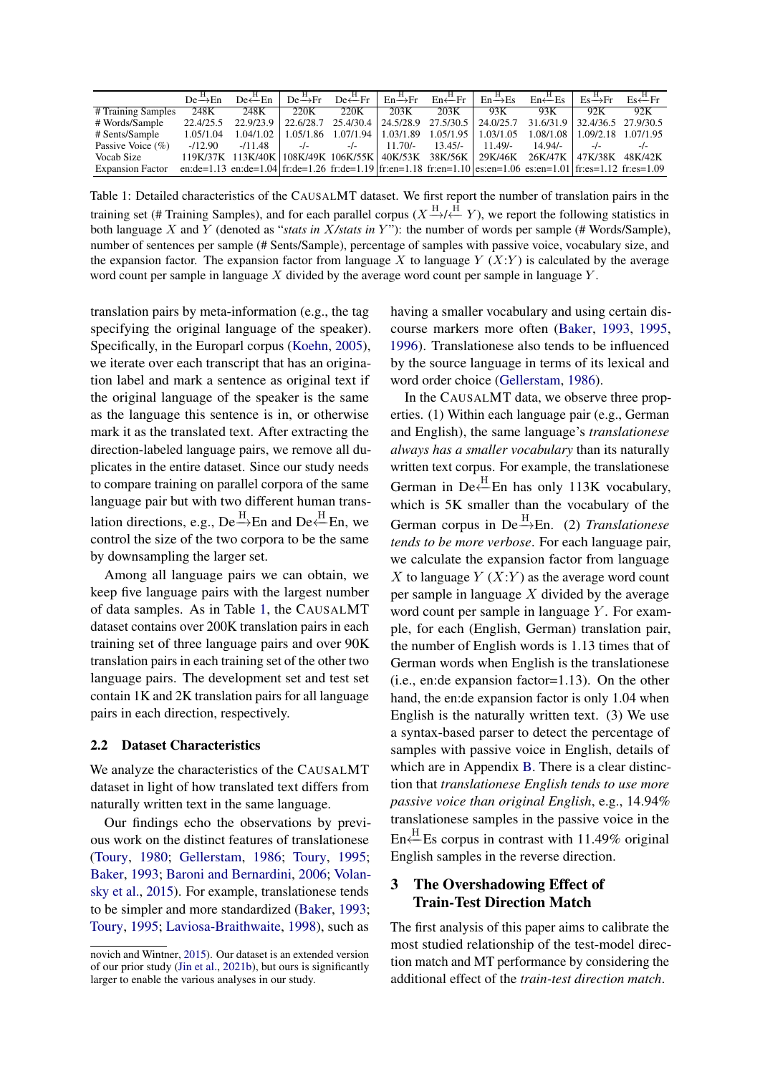<span id="page-2-0"></span>

|                         | $De \rightarrow En$ | $De \stackrel{H}{\leftarrow} En$                                                                              |           |                       |           |           |                           | $De \rightarrow Fr$ $De \leftarrow Fr$ $En \rightarrow Fr$ $En \leftarrow Fr$ $En \rightarrow Es$ $En \leftarrow Es$ $Es \rightarrow Fr$ $Es \rightarrow Fr$ $Es \leftarrow Fr$ |                     |      |
|-------------------------|---------------------|---------------------------------------------------------------------------------------------------------------|-----------|-----------------------|-----------|-----------|---------------------------|---------------------------------------------------------------------------------------------------------------------------------------------------------------------------------|---------------------|------|
| # Training Samples      | 248K                | 248K                                                                                                          | 220K      | 220K                  | 203K      | 203K      | 93K                       | 93K                                                                                                                                                                             | 92K                 | 92K  |
| # Words/Sample          | 22.4/25.5           | 22.9/23.9                                                                                                     | 22.6/28.7 | 25.4/30.4   24.5/28.9 |           |           |                           | 27.5/30.5   24.0/25.7 31.6/31.9   32.4/36.5 27.9/30.5                                                                                                                           |                     |      |
| # Sents/Sample          | 1.05/1.04           | 1.04/1.02                                                                                                     | 1.05/1.86 | 1.07/1.94   1.03/1.89 |           |           | $1.05/1.95$   $1.03/1.05$ | 1.08/1.08                                                                                                                                                                       | 1.09/2.18 1.07/1.95 |      |
| Passive Voice $(\% )$   | $-112.90$           | $-11.48$                                                                                                      | $-l$      | $-l$ -                | $11.70/-$ | $13.45/-$ | $11.49/-$                 | $14.94/-$                                                                                                                                                                       | $-l$                | $-l$ |
| Vocab Size              |                     | 119K/37K 113K/40K 108K/49K 106K/55K 40K/53K 38K/56K 29K/46K 26K/47K                                           |           |                       |           |           |                           |                                                                                                                                                                                 | 47K/38K 48K/42K     |      |
| <b>Expansion Factor</b> |                     | en:de=1.13 en:de=1.04 fr:de=1.26 fr:de=1.19 fr:en=1.18 fr:en=1.10 es:en=1.06 es:en=1.01 fr:es=1.12 fr:es=1.09 |           |                       |           |           |                           |                                                                                                                                                                                 |                     |      |

Table 1: Detailed characteristics of the CAUSALMT dataset. We first report the number of translation pairs in the training set (# Training Samples), and for each parallel corpus ( $X \xrightarrow{H} \xleftarrow{H} Y$ ), we report the following statistics in both language X and Y (denoted as "*stats in X/stats in Y*"): the number of words per sample (# Words/Sample), number of sentences per sample (# Sents/Sample), percentage of samples with passive voice, vocabulary size, and the expansion factor. The expansion factor from language X to language  $Y(X;Y)$  is calculated by the average word count per sample in language  $X$  divided by the average word count per sample in language  $Y$ .

[translation pairs by meta-information \(e.g., the tag](#page-12-7) [specifying the original language of the speaker\).](#page-12-7) [Specifically, in the Europarl corpus \(Koehn,](#page-12-7) [2005\)](#page-11-8), [we iterate over each transcript that has an origina](#page-12-7)[tion label and mark a sentence as original text if](#page-12-7) [the original language of the speaker is the same](#page-12-7) [as the language this sentence is in, or otherwise](#page-12-7) [mark it as the translated text. After extracting the](#page-12-7) [direction-labeled language pairs, we remove all du](#page-12-7)[plicates in the entire dataset. Since our study needs](#page-12-7) [to compare training on parallel corpora of the same](#page-12-7) [language pair but with two different human trans](#page-12-7)[lation directions, e.g., De](#page-12-7)  $\stackrel{H}{\rightarrow}$ En and De $\stackrel{H}{\leftarrow}$ En, we [control the size of the two corpora to be the same](#page-12-7) [by downsampling the larger set.](#page-12-7)

[Among all language pairs we can obtain, we](#page-12-7) [keep five language pairs with the largest number](#page-12-7) [of data samples. As in Table](#page-12-7) [1,](#page-2-0) the CAUSALMT [dataset contains over 200K translation pairs in each](#page-12-7) [training set of three language pairs and over 90K](#page-12-7) [translation pairs in each training set of the other two](#page-12-7) [language pairs. The development set and test set](#page-12-7) [contain 1K and 2K translation pairs for all language](#page-12-7) [pairs in each direction, respectively.](#page-12-7)

#### 2.2 [Dataset Characteristics](#page-12-7)

[We analyze the characteristics of the](#page-12-7) CAUSALMT [dataset in light of how translated text differs from](#page-12-7) [naturally written text in the same language.](#page-12-7)

[Our findings echo the observations by previ](#page-12-7)[ous work on the distinct features of translationese](#page-12-7) [\(Toury,](#page-13-0) [1980;](#page-13-0) [Gellerstam,](#page-12-7) [1986;](#page-11-0) [Toury,](#page-13-1) [1995;](#page-13-1) [Baker,](#page-10-0) [1993;](#page-10-0) [Baroni and Bernardini,](#page-12-7) [2006;](#page-10-1) [Volan](#page-13-6)[sky et al.,](#page-13-6) [2015\). For example, translationese tends](#page-12-7) [to be simpler and more standardized \(Baker,](#page-12-7) [1993;](#page-10-0) [Toury,](#page-13-1) [1995;](#page-13-1) [Laviosa-Braithwaite,](#page-12-7) [1998\)](#page-12-8), such as

having a smaller vocabulary and using certain discourse markers more often [\(Baker,](#page-10-0) [1993,](#page-10-0) [1995,](#page-10-7) [1996\)](#page-10-8). Translationese also tends to be influenced by the source language in terms of its lexical and word order choice [\(Gellerstam,](#page-11-0) [1986\)](#page-11-0).

In the CAUSALMT data, we observe three properties. (1) Within each language pair (e.g., German and English), the same language's *translationese always has a smaller vocabulary* than its naturally written text corpus. For example, the translationese German in De $\leftarrow^{\text{H}}$ En has only 113K vocabulary, which is 5K smaller than the vocabulary of the German corpus in  $De \rightarrow En.$  (2) *Translationese tends to be more verbose*. For each language pair, we calculate the expansion factor from language  $X$  to language  $Y(X:Y)$  as the average word count per sample in language  $X$  divided by the average word count per sample in language  $Y$ . For example, for each (English, German) translation pair, the number of English words is 1.13 times that of German words when English is the translationese (i.e., en:de expansion factor=1.13). On the other hand, the en:de expansion factor is only 1.04 when English is the naturally written text. (3) We use a syntax-based parser to detect the percentage of samples with passive voice in English, details of which are in Appendix [B.](#page-14-0) There is a clear distinction that *translationese English tends to use more passive voice than original English*, e.g., 14.94% translationese samples in the passive voice in the En<sup> $+$ H</sup>Es corpus in contrast with 11.49% original English samples in the reverse direction.

# 3 The Overshadowing Effect of Train-Test Direction Match

The first analysis of this paper aims to calibrate the most studied relationship of the test-model direction match and MT performance by considering the additional effect of the *train-test direction match*.

[novich and Wintner,](#page-12-7) [2015\)](#page-12-7). Our dataset is an extended version of our prior study [\(Jin et al.,](#page-11-2) [2021b\)](#page-11-2), but ours is significantly larger to enable the various analyses in our study.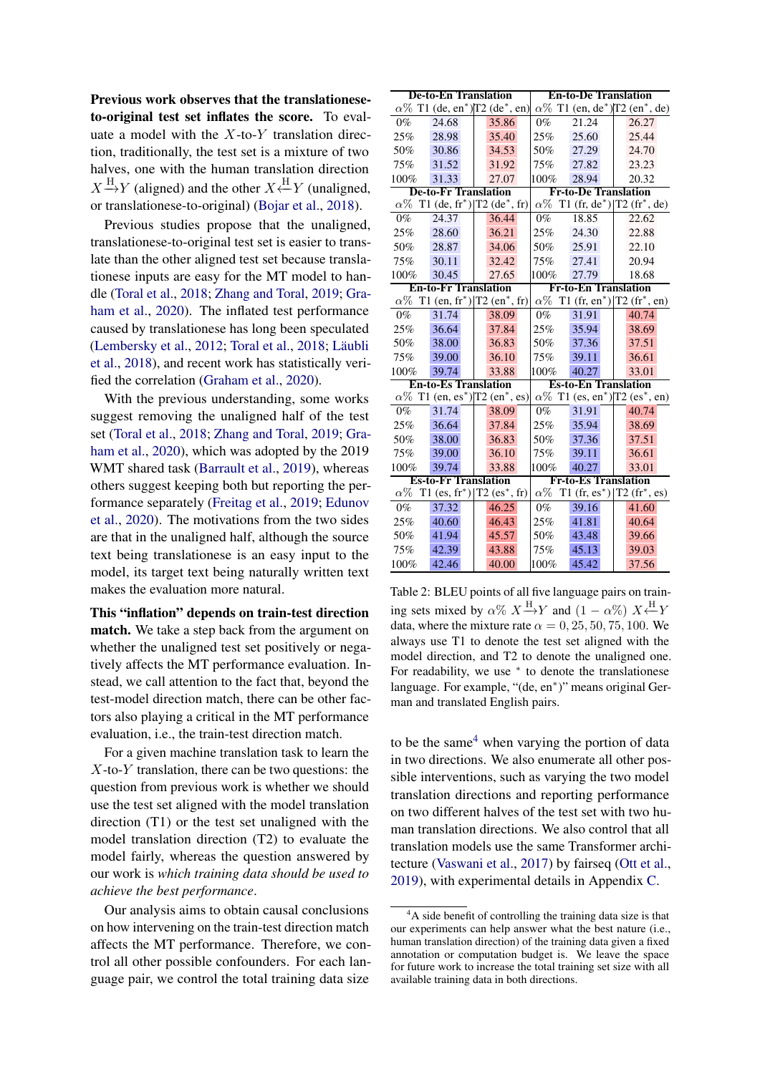Previous work observes that the translationeseto-original test set inflates the score. To evaluate a model with the  $X$ -to- $Y$  translation direction, traditionally, the test set is a mixture of two halves, one with the human translation direction  $X \xrightarrow{H} Y$  (aligned) and the other  $X \xleftarrow{H} Y$  (unaligned, or translationese-to-original) [\(Bojar et al.,](#page-10-9) [2018\)](#page-10-9).

Previous studies propose that the unaligned, translationese-to-original test set is easier to translate than the other aligned test set because translationese inputs are easy for the MT model to handle [\(Toral et al.,](#page-13-2) [2018;](#page-13-2) [Zhang and Toral,](#page-13-4) [2019;](#page-13-4) [Gra](#page-11-3)[ham et al.,](#page-11-3) [2020\)](#page-11-3). The inflated test performance caused by translationese has long been speculated [\(Lembersky et al.,](#page-12-0) [2012;](#page-12-0) [Toral et al.,](#page-13-2) [2018;](#page-13-2) [Läubli](#page-11-1) [et al.,](#page-11-1) [2018\)](#page-11-1), and recent work has statistically verified the correlation [\(Graham et al.,](#page-11-3) [2020\)](#page-11-3).

With the previous understanding, some works suggest removing the unaligned half of the test set [\(Toral et al.,](#page-13-2) [2018;](#page-13-2) [Zhang and Toral,](#page-13-4) [2019;](#page-13-4) [Gra](#page-11-3)[ham et al.,](#page-11-3) [2020\)](#page-11-3), which was adopted by the 2019 WMT shared task [\(Barrault et al.,](#page-10-4) [2019\)](#page-10-4), whereas others suggest keeping both but reporting the performance separately [\(Freitag et al.,](#page-10-6) [2019;](#page-10-6) [Edunov](#page-10-3) [et al.,](#page-10-3) [2020\)](#page-10-3). The motivations from the two sides are that in the unaligned half, although the source text being translationese is an easy input to the model, its target text being naturally written text makes the evaluation more natural.

This "inflation" depends on train-test direction match. We take a step back from the argument on whether the unaligned test set positively or negatively affects the MT performance evaluation. Instead, we call attention to the fact that, beyond the test-model direction match, there can be other factors also playing a critical in the MT performance evaluation, i.e., the train-test direction match.

For a given machine translation task to learn the  $X$ -to- $Y$  translation, there can be two questions: the question from previous work is whether we should use the test set aligned with the model translation direction (T1) or the test set unaligned with the model translation direction (T2) to evaluate the model fairly, whereas the question answered by our work is *which training data should be used to achieve the best performance*.

Our analysis aims to obtain causal conclusions on how intervening on the train-test direction match affects the MT performance. Therefore, we control all other possible confounders. For each language pair, we control the total training data size

<span id="page-3-1"></span>

|            | <b>De-to-En Translation</b> |                                                                                                                                | <b>En-to-De Translation</b> |                             |                                                                |  |  |  |
|------------|-----------------------------|--------------------------------------------------------------------------------------------------------------------------------|-----------------------------|-----------------------------|----------------------------------------------------------------|--|--|--|
|            |                             | $\alpha\%$ T1 (de, en <sup>*</sup> )[T2 (de <sup>*</sup> , en)] $\alpha\%$ T1 (en, de <sup>*</sup> )[T2 (en <sup>*</sup> , de) |                             |                             |                                                                |  |  |  |
| $0\%$      | 24.68                       | 35.86                                                                                                                          | $0\%$                       | 21.24                       | 26.27                                                          |  |  |  |
| 25%        | 28.98                       | 35.40                                                                                                                          | 25%                         | 25.60                       | 25.44                                                          |  |  |  |
| 50%        | 30.86                       | 34.53                                                                                                                          | 50%                         | 27.29                       | 24.70                                                          |  |  |  |
| 75%        | 31.52                       | 31.92                                                                                                                          | 75%                         | 27.82                       | 23.23                                                          |  |  |  |
| 100%       | 31.33                       | 27.07                                                                                                                          | 100%                        | 28.94                       | 20.32                                                          |  |  |  |
|            | <b>De-to-Fr Translation</b> |                                                                                                                                |                             | <b>Fr-to-De Translation</b> |                                                                |  |  |  |
|            |                             | $\alpha\%$ T1 (de, fr <sup>*</sup> ) T2 (de <sup>*</sup> , fr)  $\alpha\%$ T1 (fr, de <sup>*</sup> ) T2 (fr <sup>*</sup> , de) |                             |                             |                                                                |  |  |  |
| $0\%$      | 24.37                       | 36.44                                                                                                                          | $0\%$                       | 18.85                       | 22.62                                                          |  |  |  |
| 25%        | 28.60                       | 36.21                                                                                                                          | 25%                         | 24.30                       | 22.88                                                          |  |  |  |
| 50%        | 28.87                       | 34.06                                                                                                                          | 50%                         | 25.91                       | 22.10                                                          |  |  |  |
| 75%        | 30.11                       | 32.42                                                                                                                          | 75%                         | 27.41                       | 20.94                                                          |  |  |  |
| 100%       | 30.45                       | 27.65                                                                                                                          | 100%                        | 27.79                       | 18.68                                                          |  |  |  |
|            | <b>En-to-Fr Translation</b> |                                                                                                                                |                             | <b>Fr-to-En Translation</b> |                                                                |  |  |  |
|            |                             | $\alpha\%$ T1 (en, fr <sup>*</sup> ) T2 (en <sup>*</sup> , fr)                                                                 |                             |                             | $\alpha\%$ T1 (fr, en <sup>*</sup> ) T2 (fr <sup>*</sup> , en) |  |  |  |
| $0\%$      | 31.74                       | 38.09                                                                                                                          | $0\%$                       | 31.91                       | 40.74                                                          |  |  |  |
| 25%        | 36.64                       | 37.84                                                                                                                          | 25%                         | 35.94                       | 38.69                                                          |  |  |  |
| 50%        | 38.00                       | 36.83                                                                                                                          | 50%                         | 37.36                       | 37.51                                                          |  |  |  |
| 75%        | 39.00                       | 36.10                                                                                                                          | 75%                         | 39.11                       | 36.61                                                          |  |  |  |
| 100%       | 39.74                       | 33.88                                                                                                                          | 100%                        | 40.27                       | 33.01                                                          |  |  |  |
|            | <b>En-to-Es Translation</b> |                                                                                                                                |                             | <b>Es-to-En Translation</b> |                                                                |  |  |  |
|            |                             | $\alpha\%$ T1 (en, es <sup>*</sup> ) T2 (en <sup>*</sup> , es)  $\alpha\%$ T1 (es, en <sup>*</sup> ) T2 (es <sup>*</sup> , en) |                             |                             |                                                                |  |  |  |
| $0\%$      | 31.74                       | 38.09                                                                                                                          | $0\%$                       | 31.91                       | 40.74                                                          |  |  |  |
| 25%        | 36.64                       | 37.84                                                                                                                          | 25%                         | 35.94                       | 38.69                                                          |  |  |  |
| 50%        | 38.00                       | 36.83                                                                                                                          | 50%                         | 37.36                       | 37.51                                                          |  |  |  |
| 75%        | 39.00                       | 36.10                                                                                                                          | 75%                         | 39.11                       | 36.61                                                          |  |  |  |
| 100%       | 39.74                       | 33.88                                                                                                                          | 100%                        | 40.27                       | 33.01                                                          |  |  |  |
|            | <b>Es-to-Fr Translation</b> |                                                                                                                                |                             | <b>Fr-to-Es Translation</b> |                                                                |  |  |  |
| $\alpha\%$ |                             | T1 (es, $\text{fr}^*$ )   T2 (es $*$ , $\text{fr}$ )                                                                           | $\alpha\%$                  |                             | T1 (fr, $es^*$ )   T2 (fr <sup>*</sup> , es)                   |  |  |  |
| $0\%$      | 37.32                       | 46.25                                                                                                                          | $0\%$                       | 39.16                       | 41.60                                                          |  |  |  |
| 25%        | 40.60                       | 46.43                                                                                                                          | 25%                         | 41.81                       | 40.64                                                          |  |  |  |
| 50%        | 41.94                       | 45.57                                                                                                                          | 50%                         | 43.48                       | 39.66                                                          |  |  |  |
| 75%        | 42.39                       | 43.88                                                                                                                          | 75%                         | 45.13                       | 39.03                                                          |  |  |  |
| 100%       | 42.46                       | 40.00                                                                                                                          | 100%                        | 45.42                       | 37.56                                                          |  |  |  |

Table 2: BLEU points of all five language pairs on training sets mixed by  $\alpha$ %  $X \xrightarrow{H} Y$  and  $(1 - \alpha$ %)  $X \xleftarrow{H} Y$ data, where the mixture rate  $\alpha = 0, 25, 50, 75, 100$ . We always use T1 to denote the test set aligned with the model direction, and T2 to denote the unaligned one. For readability, we use  $*$  to denote the translationese language. For example, "(de, en<sup>∗</sup> )" means original German and translated English pairs.

to be the same<sup>[4](#page-3-0)</sup> when varying the portion of data in two directions. We also enumerate all other possible interventions, such as varying the two model translation directions and reporting performance on two different halves of the test set with two human translation directions. We also control that all translation models use the same Transformer architecture [\(Vaswani et al.,](#page-13-7) [2017\)](#page-13-7) by fairseq [\(Ott et al.,](#page-12-9) [2019\)](#page-12-9), with experimental details in Appendix [C.](#page-14-1)

<span id="page-3-0"></span><sup>&</sup>lt;sup>4</sup>A side benefit of controlling the training data size is that our experiments can help answer what the best nature (i.e., human translation direction) of the training data given a fixed annotation or computation budget is. We leave the space for future work to increase the total training set size with all available training data in both directions.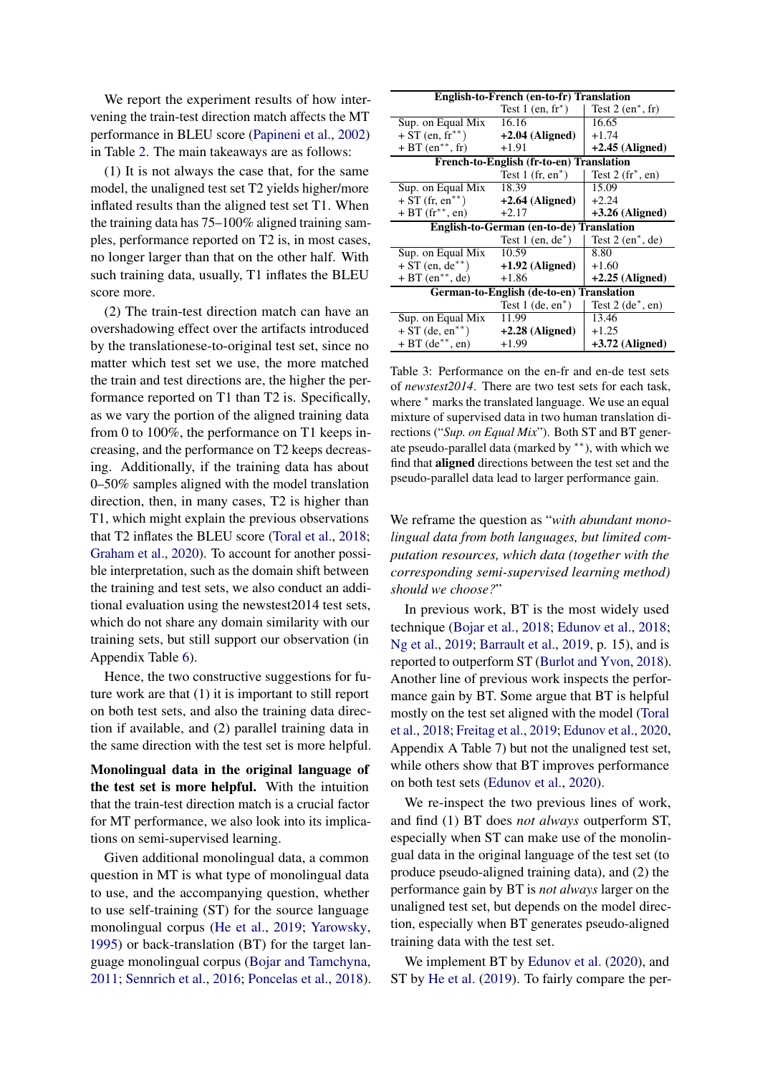We report the experiment results of how intervening the train-test direction match affects the MT performance in BLEU score [\(Papineni et al.,](#page-12-10) [2002\)](#page-12-10) in Table [2.](#page-3-1) The main takeaways are as follows:

(1) It is not always the case that, for the same model, the unaligned test set T2 yields higher/more inflated results than the aligned test set T1. When the training data has 75–100% aligned training samples, performance reported on T2 is, in most cases, no longer larger than that on the other half. With such training data, usually, T1 inflates the BLEU score more.

(2) The train-test direction match can have an overshadowing effect over the artifacts introduced by the translationese-to-original test set, since no matter which test set we use, the more matched the train and test directions are, the higher the performance reported on T1 than T2 is. Specifically, as we vary the portion of the aligned training data from 0 to 100%, the performance on T1 keeps increasing, and the performance on T2 keeps decreasing. Additionally, if the training data has about 0–50% samples aligned with the model translation direction, then, in many cases, T2 is higher than T1, which might explain the previous observations that T2 inflates the BLEU score [\(Toral et al.,](#page-13-2) [2018;](#page-13-2) [Graham et al.,](#page-11-3) [2020\)](#page-11-3). To account for another possible interpretation, such as the domain shift between the training and test sets, we also conduct an additional evaluation using the newstest2014 test sets, which do not share any domain similarity with our training sets, but still support our observation (in Appendix Table [6\)](#page-15-0).

Hence, the two constructive suggestions for future work are that (1) it is important to still report on both test sets, and also the training data direction if available, and (2) parallel training data in the same direction with the test set is more helpful.

Monolingual data in the original language of the test set is more helpful. With the intuition that the train-test direction match is a crucial factor for MT performance, we also look into its implications on semi-supervised learning.

Given additional monolingual data, a common question in MT is what type of monolingual data to use, and the accompanying question, whether to use self-training (ST) for the source language monolingual corpus [\(He et al.,](#page-11-6) [2019;](#page-11-6) [Yarowsky,](#page-13-8) [1995\)](#page-13-8) or back-translation (BT) for the target language monolingual corpus [\(Bojar and Tamchyna,](#page-10-10) [2011;](#page-10-10) [Sennrich et al.,](#page-12-4) [2016;](#page-12-4) [Poncelas et al.,](#page-12-11) [2018\)](#page-12-11).

<span id="page-4-0"></span>

| English-to-French (en-to-fr) Translation |                                                 |                                 |  |  |  |  |  |  |
|------------------------------------------|-------------------------------------------------|---------------------------------|--|--|--|--|--|--|
|                                          | Test $1$ (en, fr <sup>*</sup> )                 | Test $2$ (en <sup>*</sup> , fr) |  |  |  |  |  |  |
| Sup. on Equal Mix                        | 16.16                                           | 16.65                           |  |  |  |  |  |  |
| $+ ST$ (en, fr**)                        | $+2.04$ (Aligned)                               | $+1.74$                         |  |  |  |  |  |  |
| $+ BT (en**, fr)$                        | $+1.91$                                         | $+2.45$ (Aligned)               |  |  |  |  |  |  |
|                                          | French-to-English (fr-to-en) Translation        |                                 |  |  |  |  |  |  |
|                                          | Test $1$ (fr, en <sup>*</sup> )                 | Test $2(fr^*, en)$              |  |  |  |  |  |  |
| Sup. on Equal Mix                        | 18.39                                           | 15.09                           |  |  |  |  |  |  |
| $+ ST$ (fr, en <sup>**</sup> )           | $+2.64$ (Aligned)                               | $+2.24$                         |  |  |  |  |  |  |
| $+ BT (fr**, en)$                        | $+2.17$                                         | $+3.26$ (Aligned)               |  |  |  |  |  |  |
|                                          | <b>English-to-German (en-to-de) Translation</b> |                                 |  |  |  |  |  |  |
|                                          | Test 1 (en, $de^*$ )                            | Test $2$ (en <sup>*</sup> , de) |  |  |  |  |  |  |
| Sup. on Equal Mix                        | 10.59                                           | 8.80                            |  |  |  |  |  |  |
| $+ ST$ (en, de <sup>**</sup> )           | $+1.92$ (Aligned)                               | $+1.60$                         |  |  |  |  |  |  |
| $+ BT (en**, de)$                        | $+1.86$                                         | $+2.25$ (Aligned)               |  |  |  |  |  |  |
|                                          | German-to-English (de-to-en) Translation        |                                 |  |  |  |  |  |  |
|                                          | Test $1$ (de, en <sup>*</sup> )                 | Test $2$ (de <sup>*</sup> , en) |  |  |  |  |  |  |
| Sup. on Equal Mix                        | 11.99                                           | 13.46                           |  |  |  |  |  |  |
| $+ ST$ (de, en <sup>**</sup> )           | $+2.28$ (Aligned)                               | $+1.25$                         |  |  |  |  |  |  |
| $+ BT (de**, en)$                        | $+1.99$                                         | $+3.72$ (Aligned)               |  |  |  |  |  |  |

Table 3: Performance on the en-fr and en-de test sets of *newstest2014*. There are two test sets for each task, where  $*$  marks the translated language. We use an equal mixture of supervised data in two human translation directions ("*Sup. on Equal Mix*"). Both ST and BT generate pseudo-parallel data (marked by ∗∗), with which we find that aligned directions between the test set and the pseudo-parallel data lead to larger performance gain.

We reframe the question as "*with abundant monolingual data from both languages, but limited computation resources, which data (together with the corresponding semi-supervised learning method) should we choose?*"

In previous work, BT is the most widely used technique [\(Bojar et al.,](#page-10-9) [2018;](#page-10-9) [Edunov et al.,](#page-10-11) [2018;](#page-10-11) [Ng et al.,](#page-12-12) [2019;](#page-12-12) [Barrault et al.,](#page-10-4) [2019,](#page-10-4) p. 15), and is reported to outperform ST [\(Burlot and Yvon,](#page-10-5) [2018\)](#page-10-5). Another line of previous work inspects the performance gain by BT. Some argue that BT is helpful mostly on the test set aligned with the model [\(Toral](#page-13-2) [et al.,](#page-13-2) [2018;](#page-13-2) [Freitag et al.,](#page-10-6) [2019;](#page-10-6) [Edunov et al.,](#page-10-3) [2020,](#page-10-3) Appendix A Table 7) but not the unaligned test set, while others show that BT improves performance on both test sets [\(Edunov et al.,](#page-10-3) [2020\)](#page-10-3).

We re-inspect the two previous lines of work, and find (1) BT does *not always* outperform ST, especially when ST can make use of the monolingual data in the original language of the test set (to produce pseudo-aligned training data), and (2) the performance gain by BT is *not always* larger on the unaligned test set, but depends on the model direction, especially when BT generates pseudo-aligned training data with the test set.

We implement BT by [Edunov et al.](#page-10-3) [\(2020\)](#page-10-3), and ST by [He et al.](#page-11-6) [\(2019\)](#page-11-6). To fairly compare the per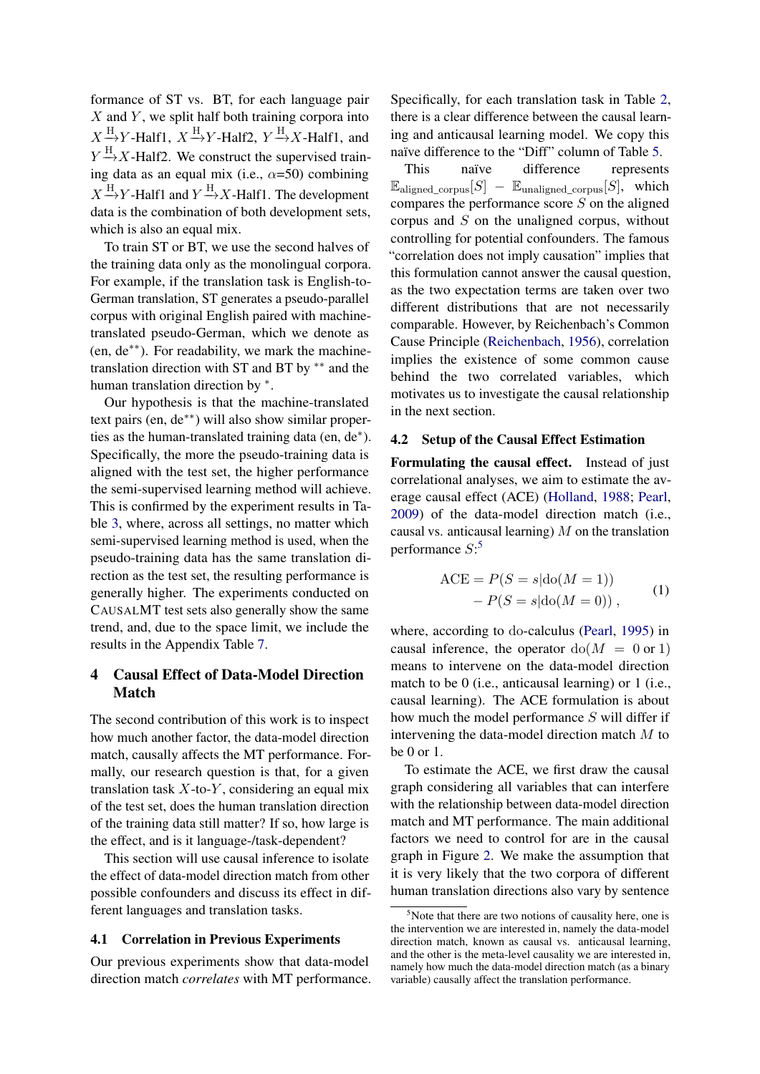formance of ST vs. BT, for each language pair  $X$  and  $Y$ , we split half both training corpora into  $X \xrightarrow{H} Y$ -Half1,  $X \xrightarrow{H} Y$ -Half2,  $Y \xrightarrow{H} X$ -Half1, and  $Y \xrightarrow{H} X$ -Half2. We construct the supervised training data as an equal mix (i.e.,  $\alpha=50$ ) combining  $X \xrightarrow{H} Y$ -Half1 and  $Y \xrightarrow{H} X$ -Half1. The development data is the combination of both development sets, which is also an equal mix.

To train ST or BT, we use the second halves of the training data only as the monolingual corpora. For example, if the translation task is English-to-German translation, ST generates a pseudo-parallel corpus with original English paired with machinetranslated pseudo-German, which we denote as (en, de∗∗). For readability, we mark the machinetranslation direction with ST and BT by ∗∗ and the human translation direction by  $*$ .

Our hypothesis is that the machine-translated text pairs (en, de∗∗) will also show similar properties as the human-translated training data (en, de\*). Specifically, the more the pseudo-training data is aligned with the test set, the higher performance the semi-supervised learning method will achieve. This is confirmed by the experiment results in Table [3,](#page-4-0) where, across all settings, no matter which semi-supervised learning method is used, when the pseudo-training data has the same translation direction as the test set, the resulting performance is generally higher. The experiments conducted on CAUSALMT test sets also generally show the same trend, and, due to the space limit, we include the results in the Appendix Table [7.](#page-16-0)

# 4 Causal Effect of Data-Model Direction Match

The second contribution of this work is to inspect how much another factor, the data-model direction match, causally affects the MT performance. Formally, our research question is that, for a given translation task  $X$ -to-Y, considering an equal mix of the test set, does the human translation direction of the training data still matter? If so, how large is the effect, and is it language-/task-dependent?

This section will use causal inference to isolate the effect of data-model direction match from other possible confounders and discuss its effect in different languages and translation tasks.

#### 4.1 Correlation in Previous Experiments

Our previous experiments show that data-model direction match *correlates* with MT performance. Specifically, for each translation task in Table [2,](#page-3-1) there is a clear difference between the causal learning and anticausal learning model. We copy this naïve difference to the "Diff" column of Table [5.](#page-7-0)

This naïve difference represents  $\mathbb{E}_{\text{aligned\_corpus}}[S] - \mathbb{E}_{\text{unaligned\_corpus}}[S]$ , which compares the performance score S on the aligned corpus and S on the unaligned corpus, without controlling for potential confounders. The famous "correlation does not imply causation" implies that this formulation cannot answer the causal question, as the two expectation terms are taken over two different distributions that are not necessarily comparable. However, by Reichenbach's Common Cause Principle [\(Reichenbach,](#page-12-13) [1956\)](#page-12-13), correlation implies the existence of some common cause behind the two correlated variables, which motivates us to investigate the causal relationship in the next section.

#### 4.2 Setup of the Causal Effect Estimation

Formulating the causal effect. Instead of just correlational analyses, we aim to estimate the average causal effect (ACE) [\(Holland,](#page-11-9) [1988;](#page-11-9) [Pearl,](#page-12-2) [2009\)](#page-12-2) of the data-model direction match (i.e., causal vs. anticausal learning)  $M$  on the translation performance  $S$ :<sup>[5](#page-5-0)</sup>

<span id="page-5-1"></span>
$$
ACE = P(S = s | do(M = 1))
$$
  
- P(S = s | do(M = 0)), (1)

where, according to do-calculus [\(Pearl,](#page-12-5) [1995\)](#page-12-5) in causal inference, the operator  $dof M = 0$  or 1) means to intervene on the data-model direction match to be 0 (i.e., anticausal learning) or 1 (i.e., causal learning). The ACE formulation is about how much the model performance S will differ if intervening the data-model direction match M to be 0 or 1.

To estimate the ACE, we first draw the causal graph considering all variables that can interfere with the relationship between data-model direction match and MT performance. The main additional factors we need to control for are in the causal graph in Figure [2.](#page-6-0) We make the assumption that it is very likely that the two corpora of different human translation directions also vary by sentence

<span id="page-5-0"></span> $5$ Note that there are two notions of causality here, one is the intervention we are interested in, namely the data-model direction match, known as causal vs. anticausal learning, and the other is the meta-level causality we are interested in, namely how much the data-model direction match (as a binary variable) causally affect the translation performance.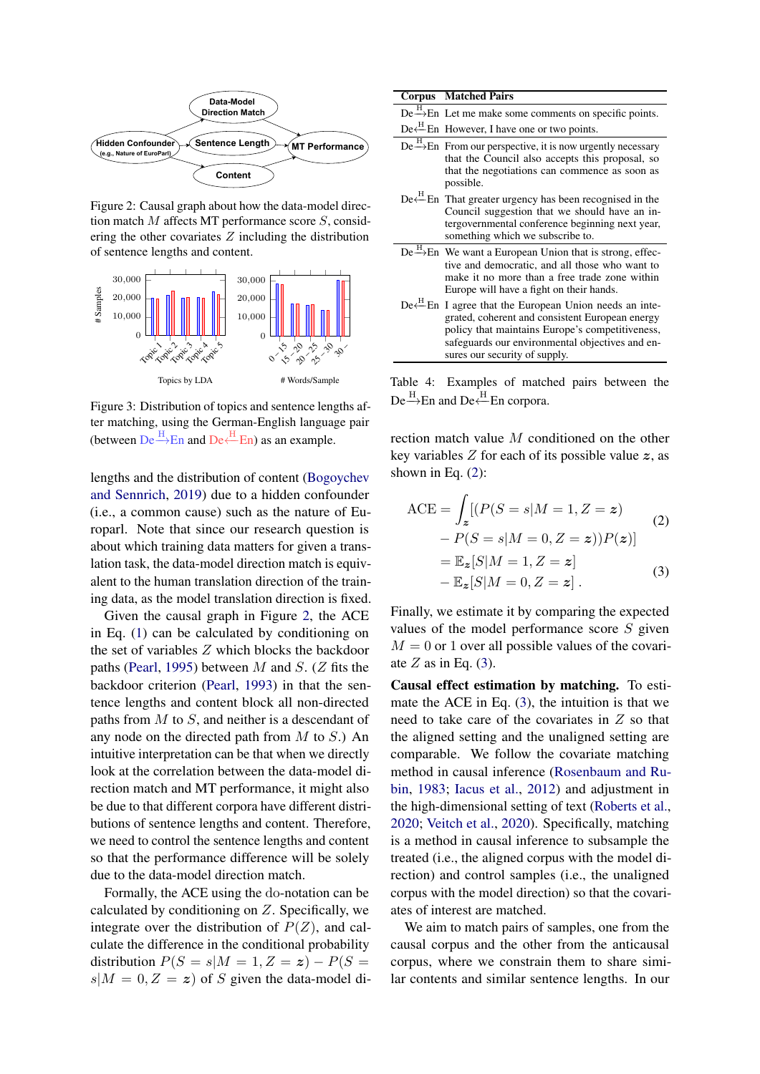<span id="page-6-0"></span>

Figure 2: Causal graph about how the data-model direction match M affects MT performance score S, considering the other covariates  $Z$  including the distribution of sentence lengths and content.

<span id="page-6-3"></span>

Figure 3: Distribution of topics and sentence lengths after matching, using the German-English language pair (between  $De \xrightarrow{H} En$  and  $De \xleftarrow{H} En$ ) as an example.

lengths and the distribution of content [\(Bogoychev](#page-10-12) [and Sennrich,](#page-10-12) [2019\)](#page-10-12) due to a hidden confounder (i.e., a common cause) such as the nature of Europarl. Note that since our research question is about which training data matters for given a translation task, the data-model direction match is equivalent to the human translation direction of the training data, as the model translation direction is fixed.

Given the causal graph in Figure [2,](#page-6-0) the ACE in Eq. [\(1\)](#page-5-1) can be calculated by conditioning on the set of variables Z which blocks the backdoor paths [\(Pearl,](#page-12-5) [1995\)](#page-12-5) between M and S. (Z fits the backdoor criterion [\(Pearl,](#page-12-14) [1993\)](#page-12-14) in that the sentence lengths and content block all non-directed paths from  $M$  to  $S$ , and neither is a descendant of any node on the directed path from  $M$  to  $S$ .) An intuitive interpretation can be that when we directly look at the correlation between the data-model direction match and MT performance, it might also be due to that different corpora have different distributions of sentence lengths and content. Therefore, we need to control the sentence lengths and content so that the performance difference will be solely due to the data-model direction match.

Formally, the ACE using the do-notation can be calculated by conditioning on  $Z$ . Specifically, we integrate over the distribution of  $P(Z)$ , and calculate the difference in the conditional probability distribution  $P(S = s|M = 1, Z = z) - P(S = z)$  $s|M = 0, Z = z$  of S given the data-model di-

<span id="page-6-4"></span>

|  | <b>Corpus</b> Matched Pairs                                                                                                                                                                                                                                              |
|--|--------------------------------------------------------------------------------------------------------------------------------------------------------------------------------------------------------------------------------------------------------------------------|
|  | De $\stackrel{H}{\rightarrow}$ En Let me make some comments on specific points.                                                                                                                                                                                          |
|  | $De \xleftarrow{H} En$ However, I have one or two points.                                                                                                                                                                                                                |
|  | De $\stackrel{\text{H}}{\rightarrow}$ En From our perspective, it is now urgently necessary<br>that the Council also accepts this proposal, so<br>that the negotiations can commence as soon as<br>possible.                                                             |
|  | De <sup><math>H</math></sup> En That greater urgency has been recognised in the<br>Council suggestion that we should have an in-<br>tergovernmental conference beginning next year,<br>something which we subscribe to.                                                  |
|  | De $\stackrel{H}{\rightarrow}$ En We want a European Union that is strong, effec-<br>tive and democratic, and all those who want to<br>make it no more than a free trade zone within<br>Europe will have a fight on their hands.                                         |
|  | De <sup><math>H</math></sup> En I agree that the European Union needs an inte-<br>grated, coherent and consistent European energy<br>policy that maintains Europe's competitiveness,<br>safeguards our environmental objectives and en-<br>sures our security of supply. |

Table 4: Examples of matched pairs between the De  $\stackrel{\text{H}}{\longrightarrow}$ En and De  $\stackrel{\text{H}}{\longleftarrow}$ En corpora.

rection match value M conditioned on the other key variables  $Z$  for each of its possible value  $z$ , as shown in Eq.  $(2)$ :

<span id="page-6-2"></span><span id="page-6-1"></span>
$$
\begin{aligned} \text{ACE} &= \int_{\mathcal{Z}} \left[ (P(S=s|M=1, Z=z) - P(S=s|M=0, Z=z)) P(z) \right] \\ &= \mathbb{E}_{\mathcal{Z}}[S|M=1, Z=z] \\ &- \mathbb{E}_{\mathcal{Z}}[S|M=0, Z=z] \end{aligned} \tag{3}
$$

Finally, we estimate it by comparing the expected values of the model performance score S given  $M = 0$  or 1 over all possible values of the covariate  $Z$  as in Eq. [\(3\)](#page-6-2).

Causal effect estimation by matching. To estimate the ACE in Eq. [\(3\)](#page-6-2), the intuition is that we need to take care of the covariates in Z so that the aligned setting and the unaligned setting are comparable. We follow the covariate matching method in causal inference [\(Rosenbaum and Ru](#page-12-15)[bin,](#page-12-15) [1983;](#page-12-15) [Iacus et al.,](#page-11-10) [2012\)](#page-11-10) and adjustment in the high-dimensional setting of text [\(Roberts et al.,](#page-12-16) [2020;](#page-12-16) [Veitch et al.,](#page-13-9) [2020\)](#page-13-9). Specifically, matching is a method in causal inference to subsample the treated (i.e., the aligned corpus with the model direction) and control samples (i.e., the unaligned corpus with the model direction) so that the covariates of interest are matched.

We aim to match pairs of samples, one from the causal corpus and the other from the anticausal corpus, where we constrain them to share similar contents and similar sentence lengths. In our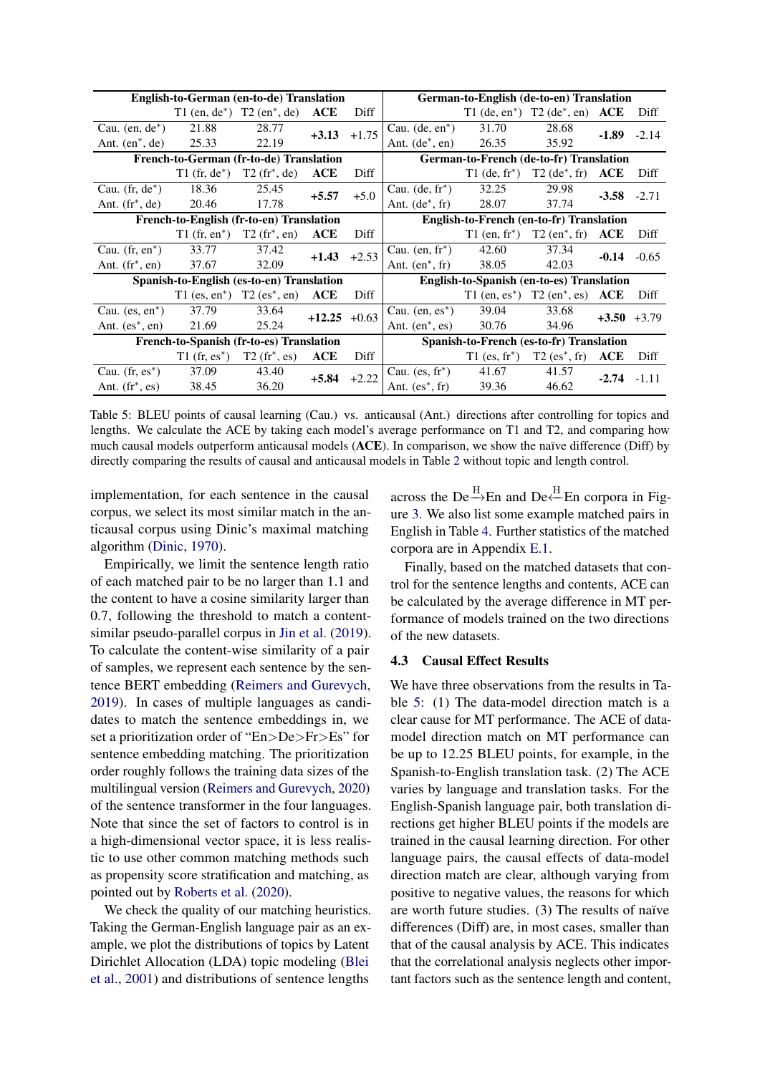<span id="page-7-0"></span>

| <b>English-to-German (en-to-de) Translation</b> |                                           |                                                         |                  |                                          | German-to-English (de-to-en) Translation         |                             |                                                         |                |                |
|-------------------------------------------------|-------------------------------------------|---------------------------------------------------------|------------------|------------------------------------------|--------------------------------------------------|-----------------------------|---------------------------------------------------------|----------------|----------------|
|                                                 |                                           | T1 (en, $de^*$ ) T2 (en <sup>*</sup> , de)              | ACE              | Diff                                     |                                                  |                             | T1 (de, en*) T2 (de*, en) $ACE$                         |                | Diff           |
| Cau. $(en, de^*)$                               | 21.88                                     | 28.77                                                   |                  | $+3.13$ $+1.75$                          | Cau. $(de, en^*)$                                | 31.70                       | 28.68                                                   |                | $-1.89 - 2.14$ |
| Ant. $(en^*, de)$                               | 25.33                                     | 22.19                                                   |                  |                                          | Ant. $(de^*, en)$                                | 26.35                       | 35.92                                                   |                |                |
| French-to-German (fr-to-de) Translation         |                                           |                                                         |                  |                                          | German-to-French (de-to-fr) Translation          |                             |                                                         |                |                |
|                                                 | $T1$ (fr, de <sup>*</sup> )               | $T2(fr^*, de)$                                          | ACE              | Diff                                     |                                                  |                             | $T1$ (de, fr <sup>*</sup> ) $T2$ (de <sup>*</sup> , fr) | ACE            | Diff           |
| Cau. $(fr, de^*)$                               | 18.36                                     | 25.45                                                   | $+5.57 +5.0$     |                                          | Cau. $(de, fr^*)$                                | 32.25                       | 29.98                                                   | $-3.58 - 2.71$ |                |
| Ant. $(fr^*, de)$                               | 20.46                                     | 17.78                                                   |                  |                                          | Ant. $(de^*, fr)$                                | 28.07                       | 37.74                                                   |                |                |
| French-to-English (fr-to-en) Translation        |                                           |                                                         |                  | English-to-French (en-to-fr) Translation |                                                  |                             |                                                         |                |                |
|                                                 |                                           | $T1$ (fr, en <sup>*</sup> ) $T2$ (fr <sup>*</sup> , en) | ACE              | Diff                                     |                                                  |                             | T1 (en, fr <sup>*</sup> ) T2 (en <sup>*</sup> , fr)     | ACE            | Diff           |
| Cau. $(fr, en^*)$                               | 33.77                                     | 37.42                                                   | $+1.43$ $+2.53$  |                                          | Cau. $(en, fr^*)$                                | 42.60                       | 37.34                                                   | $-0.14$        | $-0.65$        |
| Ant. $(f\mathbf{r}^*, \mathbf{en})$             | 37.67                                     | 32.09                                                   |                  |                                          | Ant. $(en^*, fr)$                                | 38.05                       | 42.03                                                   |                |                |
|                                                 | Spanish-to-English (es-to-en) Translation |                                                         |                  |                                          | <b>English-to-Spanish (en-to-es) Translation</b> |                             |                                                         |                |                |
|                                                 |                                           | $T1$ (es, en <sup>*</sup> ) $T2$ (es <sup>*</sup> , en) | ACE              | Diff                                     |                                                  |                             | T1 (en, es*) T2 (en*, es)                               | ACE            | Diff           |
| Cau. $(es, en^*)$                               | 37.79                                     | 33.64                                                   | $+12.25$ $+0.63$ |                                          | Cau. $(en, es^*)$                                | 39.04                       | 33.68                                                   |                | $+3.50 +3.79$  |
| Ant. $(es^*, en)$                               | 21.69                                     | 25.24                                                   |                  |                                          | Ant. $(en^*, \text{es})$                         | 30.76                       | 34.96                                                   |                |                |
| French-to-Spanish (fr-to-es) Translation        |                                           |                                                         |                  |                                          | Spanish-to-French (es-to-fr) Translation         |                             |                                                         |                |                |
|                                                 | $T1$ (fr, es <sup>*</sup> )               | $T2(fr^*,es)$                                           | ACE              | Diff                                     |                                                  | $T1$ (es. fr <sup>*</sup> ) | $T2$ (es <sup>*</sup> , fr)                             | ACE            | Diff           |
| Cau. $(fr, es^*)$                               | 37.09                                     | 43.40                                                   | $+5.84$ $+2.22$  |                                          | Cau. $(es, fr^*)$                                | 41.67                       | 41.57                                                   | $-2.74 - 1.11$ |                |
| Ant. $(fr^*, \text{es})$                        | 38.45                                     | 36.20                                                   |                  |                                          | Ant. $(es^*, fr)$                                | 39.36                       | 46.62                                                   |                |                |

Table 5: BLEU points of causal learning (Cau.) vs. anticausal (Ant.) directions after controlling for topics and lengths. We calculate the ACE by taking each model's average performance on T1 and T2, and comparing how much causal models outperform anticausal models (ACE). In comparison, we show the naïve difference (Diff) by directly comparing the results of causal and anticausal models in Table [2](#page-3-1) without topic and length control.

implementation, for each sentence in the causal corpus, we select its most similar match in the anticausal corpus using Dinic's maximal matching algorithm [\(Dinic,](#page-10-13) [1970\)](#page-10-13).

Empirically, we limit the sentence length ratio of each matched pair to be no larger than 1.1 and the content to have a cosine similarity larger than 0.7, following the threshold to match a contentsimilar pseudo-parallel corpus in [Jin et al.](#page-11-11) [\(2019\)](#page-11-11). To calculate the content-wise similarity of a pair of samples, we represent each sentence by the sentence BERT embedding [\(Reimers and Gurevych,](#page-12-17) [2019\)](#page-12-17). In cases of multiple languages as candidates to match the sentence embeddings in, we set a prioritization order of "En>De>Fr>Es" for sentence embedding matching. The prioritization order roughly follows the training data sizes of the multilingual version [\(Reimers and Gurevych,](#page-12-18) [2020\)](#page-12-18) of the sentence transformer in the four languages. Note that since the set of factors to control is in a high-dimensional vector space, it is less realistic to use other common matching methods such as propensity score stratification and matching, as pointed out by [Roberts et al.](#page-12-16) [\(2020\)](#page-12-16).

We check the quality of our matching heuristics. Taking the German-English language pair as an example, we plot the distributions of topics by Latent Dirichlet Allocation (LDA) topic modeling [\(Blei](#page-10-14) [et al.,](#page-10-14) [2001\)](#page-10-14) and distributions of sentence lengths

across the De<sup>H</sup><sub>D</sub>En and De<sup>H</sup><sub>D</sub>En corpora in Figure [3.](#page-6-3) We also list some example matched pairs in English in Table [4.](#page-6-4) Further statistics of the matched corpora are in Appendix [E.1.](#page-16-1)

Finally, based on the matched datasets that control for the sentence lengths and contents, ACE can be calculated by the average difference in MT performance of models trained on the two directions of the new datasets.

#### 4.3 Causal Effect Results

We have three observations from the results in Table [5:](#page-7-0) (1) The data-model direction match is a clear cause for MT performance. The ACE of datamodel direction match on MT performance can be up to 12.25 BLEU points, for example, in the Spanish-to-English translation task. (2) The ACE varies by language and translation tasks. For the English-Spanish language pair, both translation directions get higher BLEU points if the models are trained in the causal learning direction. For other language pairs, the causal effects of data-model direction match are clear, although varying from positive to negative values, the reasons for which are worth future studies. (3) The results of naïve differences (Diff) are, in most cases, smaller than that of the causal analysis by ACE. This indicates that the correlational analysis neglects other important factors such as the sentence length and content,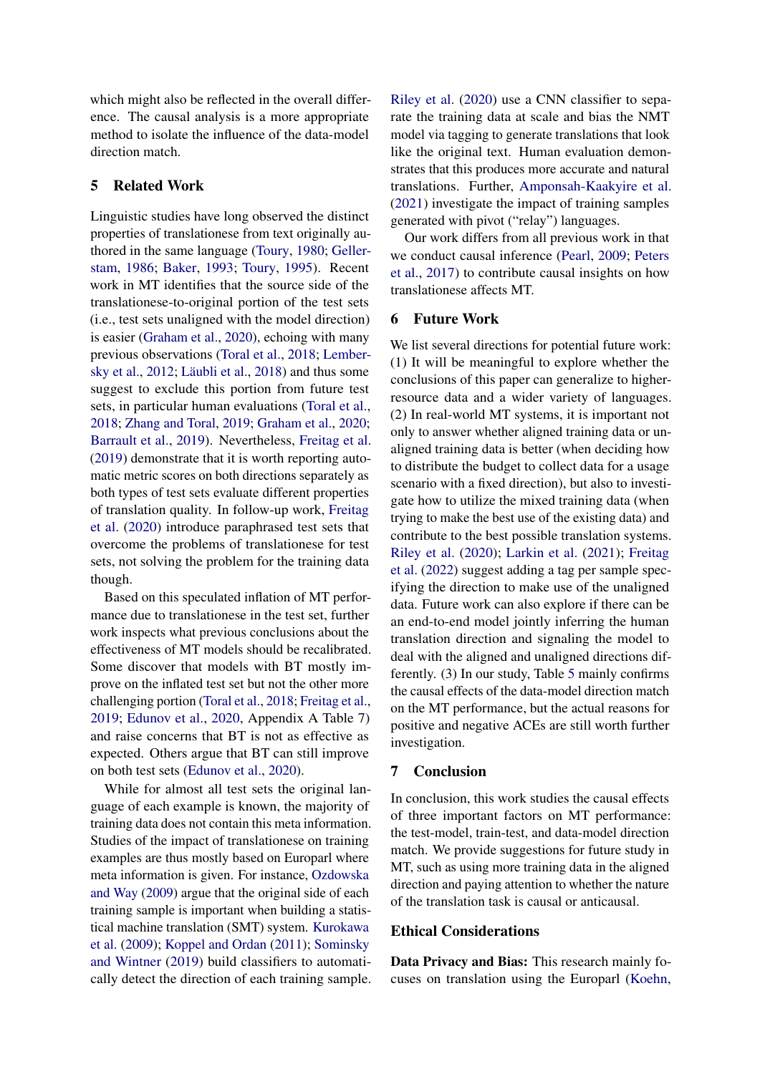which might also be reflected in the overall difference. The causal analysis is a more appropriate method to isolate the influence of the data-model direction match.

# 5 Related Work

Linguistic studies have long observed the distinct properties of translationese from text originally authored in the same language [\(Toury,](#page-13-0) [1980;](#page-13-0) [Geller](#page-11-0)[stam,](#page-11-0) [1986;](#page-11-0) [Baker,](#page-10-0) [1993;](#page-10-0) [Toury,](#page-13-1) [1995\)](#page-13-1). Recent work in MT identifies that the source side of the translationese-to-original portion of the test sets (i.e., test sets unaligned with the model direction) is easier [\(Graham et al.,](#page-11-3) [2020\)](#page-11-3), echoing with many previous observations [\(Toral et al.,](#page-13-2) [2018;](#page-13-2) [Lember](#page-12-0)[sky et al.,](#page-12-0) [2012;](#page-12-0) [Läubli et al.,](#page-11-1) [2018\)](#page-11-1) and thus some suggest to exclude this portion from future test sets, in particular human evaluations [\(Toral et al.,](#page-13-2) [2018;](#page-13-2) [Zhang and Toral,](#page-13-4) [2019;](#page-13-4) [Graham et al.,](#page-11-3) [2020;](#page-11-3) [Barrault et al.,](#page-10-4) [2019\)](#page-10-4). Nevertheless, [Freitag et al.](#page-10-6) [\(2019\)](#page-10-6) demonstrate that it is worth reporting automatic metric scores on both directions separately as both types of test sets evaluate different properties of translation quality. In follow-up work, [Freitag](#page-10-2) [et al.](#page-10-2) [\(2020\)](#page-10-2) introduce paraphrased test sets that overcome the problems of translationese for test sets, not solving the problem for the training data though.

Based on this speculated inflation of MT performance due to translationese in the test set, further work inspects what previous conclusions about the effectiveness of MT models should be recalibrated. Some discover that models with BT mostly improve on the inflated test set but not the other more challenging portion [\(Toral et al.,](#page-13-2) [2018;](#page-13-2) [Freitag et al.,](#page-10-6) [2019;](#page-10-6) [Edunov et al.,](#page-10-3) [2020,](#page-10-3) Appendix A Table 7) and raise concerns that BT is not as effective as expected. Others argue that BT can still improve on both test sets [\(Edunov et al.,](#page-10-3) [2020\)](#page-10-3).

While for almost all test sets the original language of each example is known, the majority of training data does not contain this meta information. Studies of the impact of translationese on training examples are thus mostly based on Europarl where meta information is given. For instance, [Ozdowska](#page-12-19) [and Way](#page-12-19) [\(2009\)](#page-12-19) argue that the original side of each training sample is important when building a statistical machine translation (SMT) system. [Kurokawa](#page-11-4) [et al.](#page-11-4) [\(2009\)](#page-11-4); [Koppel and Ordan](#page-11-12) [\(2011\)](#page-11-12); [Sominsky](#page-12-20) [and Wintner](#page-12-20) [\(2019\)](#page-12-20) build classifiers to automatically detect the direction of each training sample. [Riley et al.](#page-12-6) [\(2020\)](#page-12-6) use a CNN classifier to separate the training data at scale and bias the NMT model via tagging to generate translations that look like the original text. Human evaluation demonstrates that this produces more accurate and natural translations. Further, [Amponsah-Kaakyire et al.](#page-10-15) [\(2021\)](#page-10-15) investigate the impact of training samples generated with pivot ("relay") languages.

Our work differs from all previous work in that we conduct causal inference [\(Pearl,](#page-12-2) [2009;](#page-12-2) [Peters](#page-12-3) [et al.,](#page-12-3) [2017\)](#page-12-3) to contribute causal insights on how translationese affects MT.

### 6 Future Work

We list several directions for potential future work: (1) It will be meaningful to explore whether the conclusions of this paper can generalize to higherresource data and a wider variety of languages. (2) In real-world MT systems, it is important not only to answer whether aligned training data or unaligned training data is better (when deciding how to distribute the budget to collect data for a usage scenario with a fixed direction), but also to investigate how to utilize the mixed training data (when trying to make the best use of the existing data) and contribute to the best possible translation systems. [Riley et al.](#page-12-6) [\(2020\)](#page-12-6); [Larkin et al.](#page-11-5) [\(2021\)](#page-11-5); [Freitag](#page-10-16) [et al.](#page-10-16) [\(2022\)](#page-10-16) suggest adding a tag per sample specifying the direction to make use of the unaligned data. Future work can also explore if there can be an end-to-end model jointly inferring the human translation direction and signaling the model to deal with the aligned and unaligned directions differently. (3) In our study, Table [5](#page-7-0) mainly confirms the causal effects of the data-model direction match on the MT performance, but the actual reasons for positive and negative ACEs are still worth further investigation.

#### 7 Conclusion

In conclusion, this work studies the causal effects of three important factors on MT performance: the test-model, train-test, and data-model direction match. We provide suggestions for future study in MT, such as using more training data in the aligned direction and paying attention to whether the nature of the translation task is causal or anticausal.

## Ethical Considerations

Data Privacy and Bias: This research mainly focuses on translation using the Europarl [\(Koehn,](#page-11-8)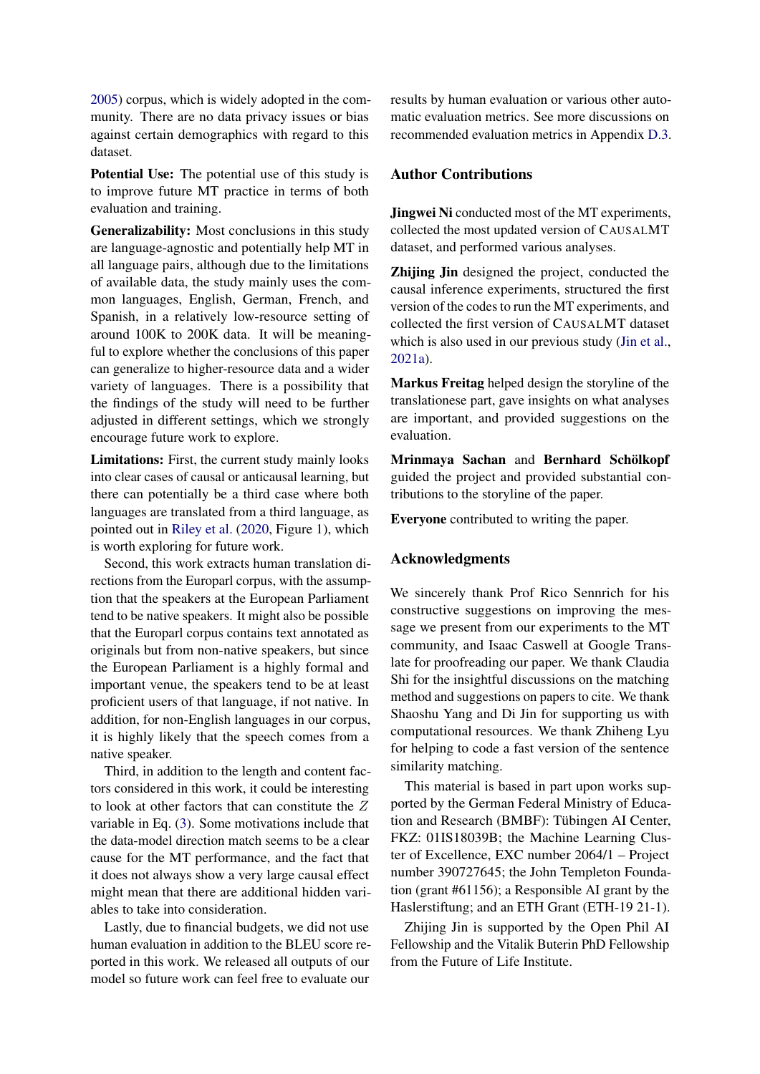[2005\)](#page-11-8) corpus, which is widely adopted in the community. There are no data privacy issues or bias against certain demographics with regard to this dataset.

Potential Use: The potential use of this study is to improve future MT practice in terms of both evaluation and training.

Generalizability: Most conclusions in this study are language-agnostic and potentially help MT in all language pairs, although due to the limitations of available data, the study mainly uses the common languages, English, German, French, and Spanish, in a relatively low-resource setting of around 100K to 200K data. It will be meaningful to explore whether the conclusions of this paper can generalize to higher-resource data and a wider variety of languages. There is a possibility that the findings of the study will need to be further adjusted in different settings, which we strongly encourage future work to explore.

Limitations: First, the current study mainly looks into clear cases of causal or anticausal learning, but there can potentially be a third case where both languages are translated from a third language, as pointed out in [Riley et al.](#page-12-6) [\(2020,](#page-12-6) Figure 1), which is worth exploring for future work.

Second, this work extracts human translation directions from the Europarl corpus, with the assumption that the speakers at the European Parliament tend to be native speakers. It might also be possible that the Europarl corpus contains text annotated as originals but from non-native speakers, but since the European Parliament is a highly formal and important venue, the speakers tend to be at least proficient users of that language, if not native. In addition, for non-English languages in our corpus, it is highly likely that the speech comes from a native speaker.

Third, in addition to the length and content factors considered in this work, it could be interesting to look at other factors that can constitute the Z variable in Eq. [\(3\)](#page-6-2). Some motivations include that the data-model direction match seems to be a clear cause for the MT performance, and the fact that it does not always show a very large causal effect might mean that there are additional hidden variables to take into consideration.

Lastly, due to financial budgets, we did not use human evaluation in addition to the BLEU score reported in this work. We released all outputs of our model so future work can feel free to evaluate our results by human evaluation or various other automatic evaluation metrics. See more discussions on recommended evaluation metrics in Appendix [D.3.](#page-15-1)

# Author Contributions

Jingwei Ni conducted most of the MT experiments, collected the most updated version of CAUSALMT dataset, and performed various analyses.

Zhijing Jin designed the project, conducted the causal inference experiments, structured the first version of the codes to run the MT experiments, and collected the first version of CAUSALMT dataset which is also used in our previous study [\(Jin et al.,](#page-11-13) [2021a\)](#page-11-13).

Markus Freitag helped design the storyline of the translationese part, gave insights on what analyses are important, and provided suggestions on the evaluation.

Mrinmaya Sachan and Bernhard Schölkopf guided the project and provided substantial contributions to the storyline of the paper.

Everyone contributed to writing the paper.

#### Acknowledgments

We sincerely thank Prof Rico Sennrich for his constructive suggestions on improving the message we present from our experiments to the MT community, and Isaac Caswell at Google Translate for proofreading our paper. We thank Claudia Shi for the insightful discussions on the matching method and suggestions on papers to cite. We thank Shaoshu Yang and Di Jin for supporting us with computational resources. We thank Zhiheng Lyu for helping to code a fast version of the sentence similarity matching.

This material is based in part upon works supported by the German Federal Ministry of Education and Research (BMBF): Tübingen AI Center, FKZ: 01IS18039B; the Machine Learning Cluster of Excellence, EXC number 2064/1 – Project number 390727645; the John Templeton Foundation (grant #61156); a Responsible AI grant by the Haslerstiftung; and an ETH Grant (ETH-19 21-1).

Zhijing Jin is supported by the Open Phil AI Fellowship and the Vitalik Buterin PhD Fellowship from the Future of Life Institute.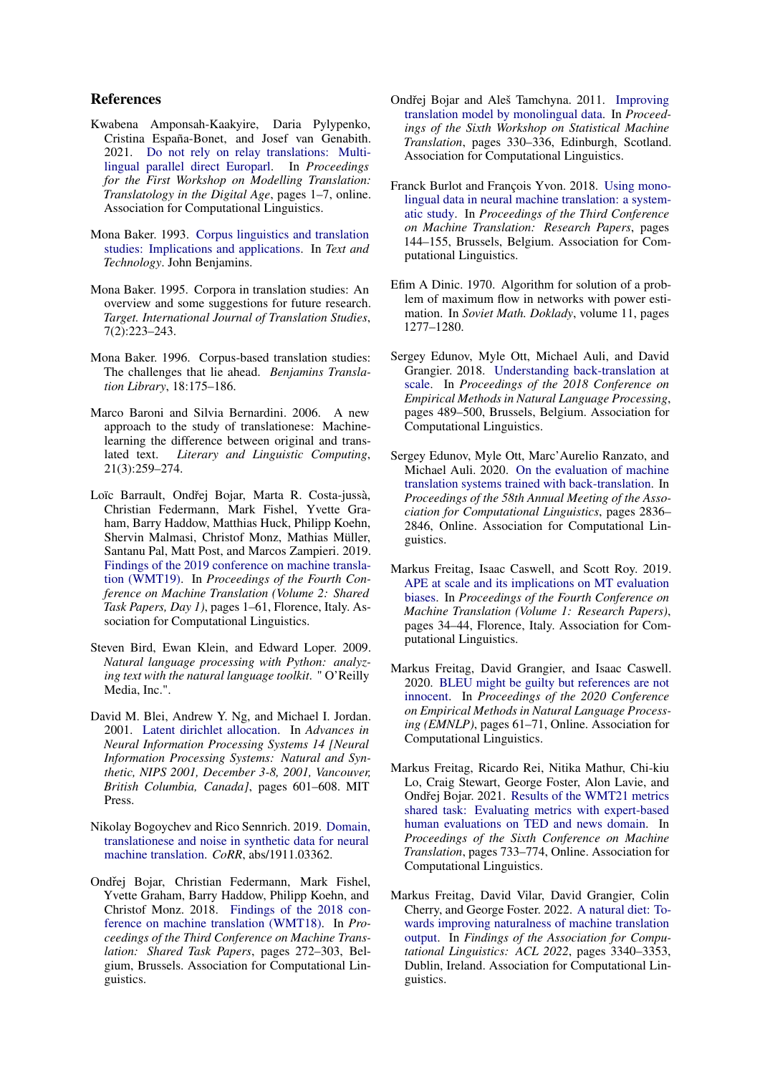#### References

- <span id="page-10-15"></span>Kwabena Amponsah-Kaakyire, Daria Pylypenko, Cristina España-Bonet, and Josef van Genabith. 2021. [Do not rely on relay translations: Multi](https://aclanthology.org/2021.motra-1.1)[lingual parallel direct Europarl.](https://aclanthology.org/2021.motra-1.1) In *Proceedings for the First Workshop on Modelling Translation: Translatology in the Digital Age*, pages 1–7, online. Association for Computational Linguistics.
- <span id="page-10-0"></span>Mona Baker. 1993. [Corpus linguistics and translation](https://www.jbe-platform.com/content/books/9789027285874-z.64.15bak) [studies: Implications and applications.](https://www.jbe-platform.com/content/books/9789027285874-z.64.15bak) In *Text and Technology*. John Benjamins.
- <span id="page-10-7"></span>Mona Baker. 1995. Corpora in translation studies: An overview and some suggestions for future research. *Target. International Journal of Translation Studies*, 7(2):223–243.
- <span id="page-10-8"></span>Mona Baker. 1996. Corpus-based translation studies: The challenges that lie ahead. *Benjamins Translation Library*, 18:175–186.
- <span id="page-10-1"></span>Marco Baroni and Silvia Bernardini. 2006. A new approach to the study of translationese: Machinelearning the difference between original and translated text. *Literary and Linguistic Computing*, 21(3):259–274.
- <span id="page-10-4"></span>Loïc Barrault, Ondřej Bojar, Marta R. Costa-jussà, Christian Federmann, Mark Fishel, Yvette Graham, Barry Haddow, Matthias Huck, Philipp Koehn, Shervin Malmasi, Christof Monz, Mathias Müller, Santanu Pal, Matt Post, and Marcos Zampieri. 2019. [Findings of the 2019 conference on machine transla](https://doi.org/10.18653/v1/W19-5301)[tion \(WMT19\).](https://doi.org/10.18653/v1/W19-5301) In *Proceedings of the Fourth Conference on Machine Translation (Volume 2: Shared Task Papers, Day 1)*, pages 1–61, Florence, Italy. Association for Computational Linguistics.
- <span id="page-10-17"></span>Steven Bird, Ewan Klein, and Edward Loper. 2009. *Natural language processing with Python: analyzing text with the natural language toolkit*. " O'Reilly Media, Inc.".
- <span id="page-10-14"></span>David M. Blei, Andrew Y. Ng, and Michael I. Jordan. 2001. [Latent dirichlet allocation.](https://proceedings.neurips.cc/paper/2001/hash/296472c9542ad4d4788d543508116cbc-Abstract.html) In *Advances in Neural Information Processing Systems 14 [Neural Information Processing Systems: Natural and Synthetic, NIPS 2001, December 3-8, 2001, Vancouver, British Columbia, Canada]*, pages 601–608. MIT Press.
- <span id="page-10-12"></span>Nikolay Bogoychev and Rico Sennrich. 2019. [Domain,](http://arxiv.org/abs/1911.03362) [translationese and noise in synthetic data for neural](http://arxiv.org/abs/1911.03362) [machine translation.](http://arxiv.org/abs/1911.03362) *CoRR*, abs/1911.03362.
- <span id="page-10-9"></span>Ondřej Bojar, Christian Federmann, Mark Fishel, Yvette Graham, Barry Haddow, Philipp Koehn, and Christof Monz. 2018. [Findings of the 2018 con](https://doi.org/10.18653/v1/W18-6401)[ference on machine translation \(WMT18\).](https://doi.org/10.18653/v1/W18-6401) In *Proceedings of the Third Conference on Machine Translation: Shared Task Papers*, pages 272–303, Belgium, Brussels. Association for Computational Linguistics.
- <span id="page-10-10"></span>Ondřej Bojar and Aleš Tamchyna. 2011. [Improving](https://aclanthology.org/W11-2138) [translation model by monolingual data.](https://aclanthology.org/W11-2138) In *Proceedings of the Sixth Workshop on Statistical Machine Translation*, pages 330–336, Edinburgh, Scotland. Association for Computational Linguistics.
- <span id="page-10-5"></span>Franck Burlot and François Yvon. 2018. [Using mono](https://doi.org/10.18653/v1/W18-6315)[lingual data in neural machine translation: a system](https://doi.org/10.18653/v1/W18-6315)[atic study.](https://doi.org/10.18653/v1/W18-6315) In *Proceedings of the Third Conference on Machine Translation: Research Papers*, pages 144–155, Brussels, Belgium. Association for Computational Linguistics.
- <span id="page-10-13"></span>Efim A Dinic. 1970. Algorithm for solution of a problem of maximum flow in networks with power estimation. In *Soviet Math. Doklady*, volume 11, pages 1277–1280.
- <span id="page-10-11"></span>Sergey Edunov, Myle Ott, Michael Auli, and David Grangier. 2018. [Understanding back-translation at](https://doi.org/10.18653/v1/D18-1045) [scale.](https://doi.org/10.18653/v1/D18-1045) In *Proceedings of the 2018 Conference on Empirical Methods in Natural Language Processing*, pages 489–500, Brussels, Belgium. Association for Computational Linguistics.
- <span id="page-10-3"></span>Sergey Edunov, Myle Ott, Marc'Aurelio Ranzato, and Michael Auli. 2020. [On the evaluation of machine](https://doi.org/10.18653/v1/2020.acl-main.253) [translation systems trained with back-translation.](https://doi.org/10.18653/v1/2020.acl-main.253) In *Proceedings of the 58th Annual Meeting of the Association for Computational Linguistics*, pages 2836– 2846, Online. Association for Computational Linguistics.
- <span id="page-10-6"></span>Markus Freitag, Isaac Caswell, and Scott Roy. 2019. [APE at scale and its implications on MT evaluation](https://doi.org/10.18653/v1/W19-5204) [biases.](https://doi.org/10.18653/v1/W19-5204) In *Proceedings of the Fourth Conference on Machine Translation (Volume 1: Research Papers)*, pages 34–44, Florence, Italy. Association for Computational Linguistics.
- <span id="page-10-2"></span>Markus Freitag, David Grangier, and Isaac Caswell. 2020. [BLEU might be guilty but references are not](https://doi.org/10.18653/v1/2020.emnlp-main.5) [innocent.](https://doi.org/10.18653/v1/2020.emnlp-main.5) In *Proceedings of the 2020 Conference on Empirical Methods in Natural Language Processing (EMNLP)*, pages 61–71, Online. Association for Computational Linguistics.
- <span id="page-10-18"></span>Markus Freitag, Ricardo Rei, Nitika Mathur, Chi-kiu Lo, Craig Stewart, George Foster, Alon Lavie, and Ondřej Bojar. 2021. [Results of the WMT21 metrics](https://aclanthology.org/2021.wmt-1.73) [shared task: Evaluating metrics with expert-based](https://aclanthology.org/2021.wmt-1.73) [human evaluations on TED and news domain.](https://aclanthology.org/2021.wmt-1.73) In *Proceedings of the Sixth Conference on Machine Translation*, pages 733–774, Online. Association for Computational Linguistics.
- <span id="page-10-16"></span>Markus Freitag, David Vilar, David Grangier, Colin Cherry, and George Foster. 2022. [A natural diet: To](https://aclanthology.org/2022.findings-acl.263)[wards improving naturalness of machine translation](https://aclanthology.org/2022.findings-acl.263) [output.](https://aclanthology.org/2022.findings-acl.263) In *Findings of the Association for Computational Linguistics: ACL 2022*, pages 3340–3353, Dublin, Ireland. Association for Computational Linguistics.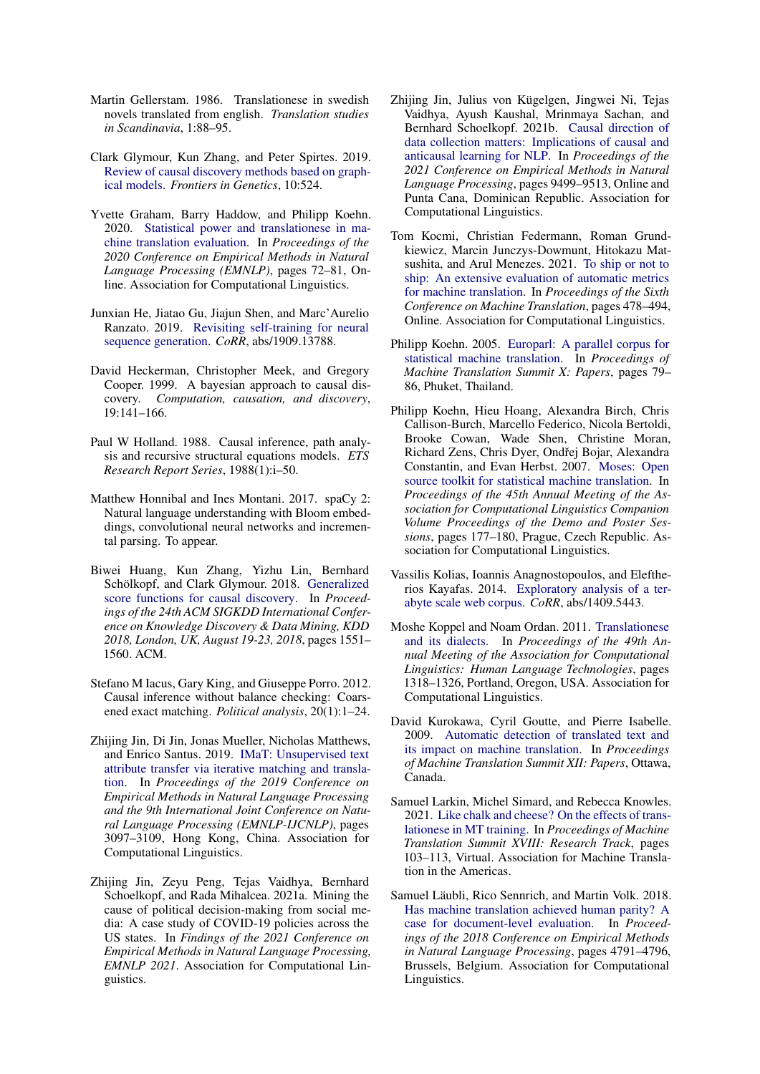- <span id="page-11-0"></span>Martin Gellerstam. 1986. Translationese in swedish novels translated from english. *Translation studies in Scandinavia*, 1:88–95.
- <span id="page-11-19"></span>Clark Glymour, Kun Zhang, and Peter Spirtes. 2019. [Review of causal discovery methods based on graph](https://doi.org/10.3389/fgene.2019.00524)[ical models.](https://doi.org/10.3389/fgene.2019.00524) *Frontiers in Genetics*, 10:524.
- <span id="page-11-3"></span>Yvette Graham, Barry Haddow, and Philipp Koehn. 2020. [Statistical power and translationese in ma](https://doi.org/10.18653/v1/2020.emnlp-main.6)[chine translation evaluation.](https://doi.org/10.18653/v1/2020.emnlp-main.6) In *Proceedings of the 2020 Conference on Empirical Methods in Natural Language Processing (EMNLP)*, pages 72–81, Online. Association for Computational Linguistics.
- <span id="page-11-6"></span>Junxian He, Jiatao Gu, Jiajun Shen, and Marc'Aurelio Ranzato. 2019. [Revisiting self-training for neural](http://arxiv.org/abs/1909.13788) [sequence generation.](http://arxiv.org/abs/1909.13788) *CoRR*, abs/1909.13788.
- <span id="page-11-17"></span>David Heckerman, Christopher Meek, and Gregory Cooper. 1999. A bayesian approach to causal discovery. *Computation, causation, and discovery*, 19:141–166.
- <span id="page-11-9"></span>Paul W Holland. 1988. Causal inference, path analysis and recursive structural equations models. *ETS Research Report Series*, 1988(1):i–50.
- <span id="page-11-14"></span>Matthew Honnibal and Ines Montani. 2017. spaCy 2: Natural language understanding with Bloom embeddings, convolutional neural networks and incremental parsing. To appear.
- <span id="page-11-18"></span>Biwei Huang, Kun Zhang, Yizhu Lin, Bernhard Schölkopf, and Clark Glymour. 2018. [Generalized](https://doi.org/10.1145/3219819.3220104) [score functions for causal discovery.](https://doi.org/10.1145/3219819.3220104) In *Proceedings of the 24th ACM SIGKDD International Conference on Knowledge Discovery & Data Mining, KDD 2018, London, UK, August 19-23, 2018*, pages 1551– 1560. ACM.
- <span id="page-11-10"></span>Stefano M Iacus, Gary King, and Giuseppe Porro. 2012. Causal inference without balance checking: Coarsened exact matching. *Political analysis*, 20(1):1–24.
- <span id="page-11-11"></span>Zhijing Jin, Di Jin, Jonas Mueller, Nicholas Matthews, and Enrico Santus. 2019. [IMaT: Unsupervised text](https://doi.org/10.18653/v1/D19-1306) [attribute transfer via iterative matching and transla](https://doi.org/10.18653/v1/D19-1306)[tion.](https://doi.org/10.18653/v1/D19-1306) In *Proceedings of the 2019 Conference on Empirical Methods in Natural Language Processing and the 9th International Joint Conference on Natural Language Processing (EMNLP-IJCNLP)*, pages 3097–3109, Hong Kong, China. Association for Computational Linguistics.
- <span id="page-11-13"></span>Zhijing Jin, Zeyu Peng, Tejas Vaidhya, Bernhard Schoelkopf, and Rada Mihalcea. 2021a. Mining the cause of political decision-making from social media: A case study of COVID-19 policies across the US states. In *Findings of the 2021 Conference on Empirical Methods in Natural Language Processing, EMNLP 2021*. Association for Computational Linguistics.
- <span id="page-11-2"></span>Zhijing Jin, Julius von Kügelgen, Jingwei Ni, Tejas Vaidhya, Ayush Kaushal, Mrinmaya Sachan, and Bernhard Schoelkopf. 2021b. [Causal direction of](https://doi.org/10.18653/v1/2021.emnlp-main.748) [data collection matters: Implications of causal and](https://doi.org/10.18653/v1/2021.emnlp-main.748) [anticausal learning for NLP.](https://doi.org/10.18653/v1/2021.emnlp-main.748) In *Proceedings of the 2021 Conference on Empirical Methods in Natural Language Processing*, pages 9499–9513, Online and Punta Cana, Dominican Republic. Association for Computational Linguistics.
- <span id="page-11-16"></span>Tom Kocmi, Christian Federmann, Roman Grundkiewicz, Marcin Junczys-Dowmunt, Hitokazu Matsushita, and Arul Menezes. 2021. [To ship or not to](https://aclanthology.org/2021.wmt-1.57) [ship: An extensive evaluation of automatic metrics](https://aclanthology.org/2021.wmt-1.57) [for machine translation.](https://aclanthology.org/2021.wmt-1.57) In *Proceedings of the Sixth Conference on Machine Translation*, pages 478–494, Online. Association for Computational Linguistics.
- <span id="page-11-8"></span>Philipp Koehn. 2005. [Europarl: A parallel corpus for](https://aclanthology.org/2005.mtsummit-papers.11) [statistical machine translation.](https://aclanthology.org/2005.mtsummit-papers.11) In *Proceedings of Machine Translation Summit X: Papers*, pages 79– 86, Phuket, Thailand.
- <span id="page-11-15"></span>Philipp Koehn, Hieu Hoang, Alexandra Birch, Chris Callison-Burch, Marcello Federico, Nicola Bertoldi, Brooke Cowan, Wade Shen, Christine Moran, Richard Zens, Chris Dyer, Ondřej Bojar, Alexandra Constantin, and Evan Herbst. 2007. [Moses: Open](https://aclanthology.org/P07-2045) [source toolkit for statistical machine translation.](https://aclanthology.org/P07-2045) In *Proceedings of the 45th Annual Meeting of the Association for Computational Linguistics Companion Volume Proceedings of the Demo and Poster Sessions*, pages 177–180, Prague, Czech Republic. Association for Computational Linguistics.
- <span id="page-11-7"></span>Vassilis Kolias, Ioannis Anagnostopoulos, and Eleftherios Kayafas. 2014. [Exploratory analysis of a ter](http://arxiv.org/abs/1409.5443)[abyte scale web corpus.](http://arxiv.org/abs/1409.5443) *CoRR*, abs/1409.5443.
- <span id="page-11-12"></span>Moshe Koppel and Noam Ordan. 2011. [Translationese](https://aclanthology.org/P11-1132) [and its dialects.](https://aclanthology.org/P11-1132) In *Proceedings of the 49th Annual Meeting of the Association for Computational Linguistics: Human Language Technologies*, pages 1318–1326, Portland, Oregon, USA. Association for Computational Linguistics.
- <span id="page-11-4"></span>David Kurokawa, Cyril Goutte, and Pierre Isabelle. 2009. [Automatic detection of translated text and](https://aclanthology.org/2009.mtsummit-papers.9) [its impact on machine translation.](https://aclanthology.org/2009.mtsummit-papers.9) In *Proceedings of Machine Translation Summit XII: Papers*, Ottawa, Canada.
- <span id="page-11-5"></span>Samuel Larkin, Michel Simard, and Rebecca Knowles. 2021. [Like chalk and cheese? On the effects of trans](https://aclanthology.org/2021.mtsummit-research.9)[lationese in MT training.](https://aclanthology.org/2021.mtsummit-research.9) In *Proceedings of Machine Translation Summit XVIII: Research Track*, pages 103–113, Virtual. Association for Machine Translation in the Americas.
- <span id="page-11-1"></span>Samuel Läubli, Rico Sennrich, and Martin Volk. 2018. [Has machine translation achieved human parity? A](https://doi.org/10.18653/v1/D18-1512) [case for document-level evaluation.](https://doi.org/10.18653/v1/D18-1512) In *Proceedings of the 2018 Conference on Empirical Methods in Natural Language Processing*, pages 4791–4796, Brussels, Belgium. Association for Computational Linguistics.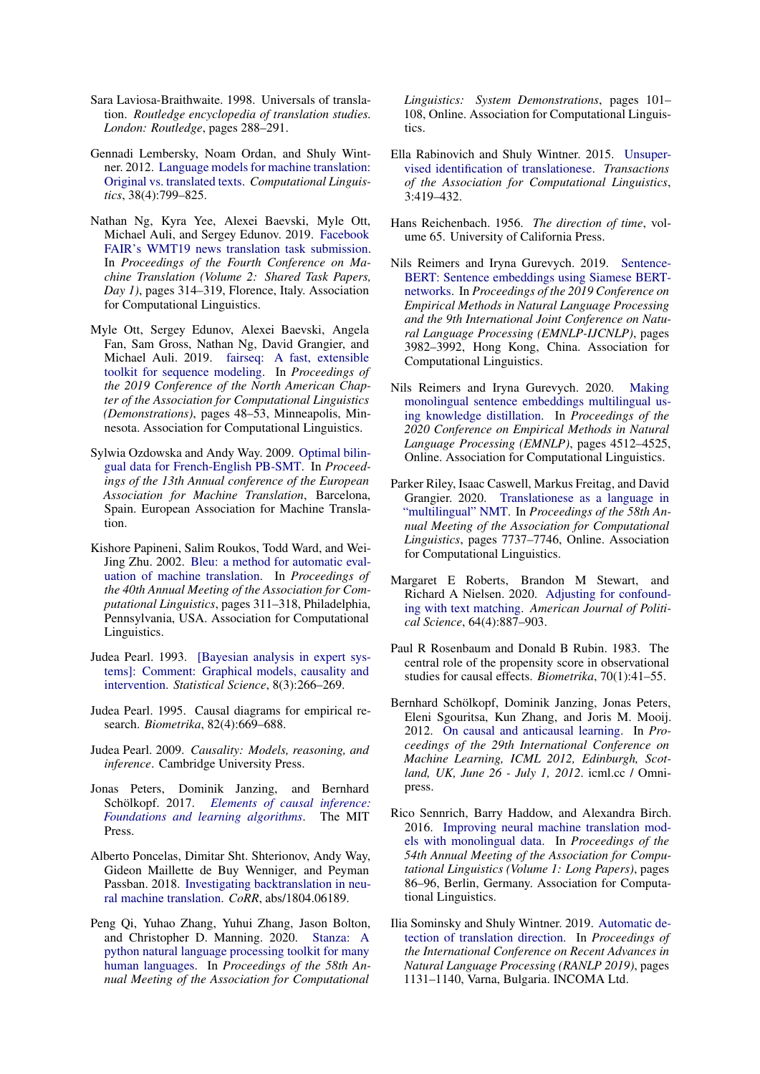- <span id="page-12-8"></span>Sara Laviosa-Braithwaite. 1998. Universals of translation. *Routledge encyclopedia of translation studies. London: Routledge*, pages 288–291.
- <span id="page-12-0"></span>Gennadi Lembersky, Noam Ordan, and Shuly Wintner. 2012. [Language models for machine translation:](https://doi.org/10.1162/COLI_a_00111) [Original vs. translated texts.](https://doi.org/10.1162/COLI_a_00111) *Computational Linguistics*, 38(4):799–825.
- <span id="page-12-12"></span>Nathan Ng, Kyra Yee, Alexei Baevski, Myle Ott, Michael Auli, and Sergey Edunov. 2019. [Facebook](https://doi.org/10.18653/v1/W19-5333) [FAIR's WMT19 news translation task submission.](https://doi.org/10.18653/v1/W19-5333) In *Proceedings of the Fourth Conference on Machine Translation (Volume 2: Shared Task Papers, Day 1)*, pages 314–319, Florence, Italy. Association for Computational Linguistics.
- <span id="page-12-9"></span>Myle Ott, Sergey Edunov, Alexei Baevski, Angela Fan, Sam Gross, Nathan Ng, David Grangier, and Michael Auli. 2019. [fairseq: A fast, extensible](https://doi.org/10.18653/v1/N19-4009) [toolkit for sequence modeling.](https://doi.org/10.18653/v1/N19-4009) In *Proceedings of the 2019 Conference of the North American Chapter of the Association for Computational Linguistics (Demonstrations)*, pages 48–53, Minneapolis, Minnesota. Association for Computational Linguistics.
- <span id="page-12-19"></span>Sylwia Ozdowska and Andy Way. 2009. [Optimal bilin](https://aclanthology.org/2009.eamt-1.14)[gual data for French-English PB-SMT.](https://aclanthology.org/2009.eamt-1.14) In *Proceedings of the 13th Annual conference of the European Association for Machine Translation*, Barcelona, Spain. European Association for Machine Translation.
- <span id="page-12-10"></span>Kishore Papineni, Salim Roukos, Todd Ward, and Wei-Jing Zhu. 2002. [Bleu: a method for automatic eval](https://doi.org/10.3115/1073083.1073135)[uation of machine translation.](https://doi.org/10.3115/1073083.1073135) In *Proceedings of the 40th Annual Meeting of the Association for Computational Linguistics*, pages 311–318, Philadelphia, Pennsylvania, USA. Association for Computational Linguistics.
- <span id="page-12-14"></span>Judea Pearl. 1993. [\[Bayesian analysis in expert sys](http://www.jstor.org/stable/2245965)[tems\]: Comment: Graphical models, causality and](http://www.jstor.org/stable/2245965) [intervention.](http://www.jstor.org/stable/2245965) *Statistical Science*, 8(3):266–269.
- <span id="page-12-5"></span>Judea Pearl. 1995. Causal diagrams for empirical research. *Biometrika*, 82(4):669–688.
- <span id="page-12-2"></span>Judea Pearl. 2009. *Causality: Models, reasoning, and inference*. Cambridge University Press.
- <span id="page-12-3"></span>Jonas Peters, Dominik Janzing, and Bernhard Schölkopf. 2017. *[Elements of causal inference:](https://mitpress.mit.edu/books/elements-causal-inference) [Foundations and learning algorithms](https://mitpress.mit.edu/books/elements-causal-inference)*. The MIT Press.
- <span id="page-12-11"></span>Alberto Poncelas, Dimitar Sht. Shterionov, Andy Way, Gideon Maillette de Buy Wenniger, and Peyman Passban. 2018. [Investigating backtranslation in neu](http://arxiv.org/abs/1804.06189)[ral machine translation.](http://arxiv.org/abs/1804.06189) *CoRR*, abs/1804.06189.
- <span id="page-12-21"></span>Peng Qi, Yuhao Zhang, Yuhui Zhang, Jason Bolton, and Christopher D. Manning. 2020. [Stanza: A](https://doi.org/10.18653/v1/2020.acl-demos.14) [python natural language processing toolkit for many](https://doi.org/10.18653/v1/2020.acl-demos.14) [human languages.](https://doi.org/10.18653/v1/2020.acl-demos.14) In *Proceedings of the 58th Annual Meeting of the Association for Computational*

*Linguistics: System Demonstrations*, pages 101– 108, Online. Association for Computational Linguistics.

- <span id="page-12-7"></span>Ella Rabinovich and Shuly Wintner. 2015. [Unsuper](https://doi.org/10.1162/tacl_a_00148)[vised identification of translationese.](https://doi.org/10.1162/tacl_a_00148) *Transactions of the Association for Computational Linguistics*, 3:419–432.
- <span id="page-12-13"></span>Hans Reichenbach. 1956. *The direction of time*, volume 65. University of California Press.
- <span id="page-12-17"></span>Nils Reimers and Iryna Gurevych. 2019. [Sentence-](https://doi.org/10.18653/v1/D19-1410)[BERT: Sentence embeddings using Siamese BERT](https://doi.org/10.18653/v1/D19-1410)[networks.](https://doi.org/10.18653/v1/D19-1410) In *Proceedings of the 2019 Conference on Empirical Methods in Natural Language Processing and the 9th International Joint Conference on Natural Language Processing (EMNLP-IJCNLP)*, pages 3982–3992, Hong Kong, China. Association for Computational Linguistics.
- <span id="page-12-18"></span>Nils Reimers and Iryna Gurevych. 2020. [Making](https://doi.org/10.18653/v1/2020.emnlp-main.365) [monolingual sentence embeddings multilingual us](https://doi.org/10.18653/v1/2020.emnlp-main.365)[ing knowledge distillation.](https://doi.org/10.18653/v1/2020.emnlp-main.365) In *Proceedings of the 2020 Conference on Empirical Methods in Natural Language Processing (EMNLP)*, pages 4512–4525, Online. Association for Computational Linguistics.
- <span id="page-12-6"></span>Parker Riley, Isaac Caswell, Markus Freitag, and David Grangier. 2020. [Translationese as a language in](https://doi.org/10.18653/v1/2020.acl-main.691) ["multilingual" NMT.](https://doi.org/10.18653/v1/2020.acl-main.691) In *Proceedings of the 58th Annual Meeting of the Association for Computational Linguistics*, pages 7737–7746, Online. Association for Computational Linguistics.
- <span id="page-12-16"></span>Margaret E Roberts, Brandon M Stewart, and Richard A Nielsen. 2020. [Adjusting for confound](http://www.mit.edu/~rnielsen/textmatching.pdf)[ing with text matching.](http://www.mit.edu/~rnielsen/textmatching.pdf) *American Journal of Political Science*, 64(4):887–903.
- <span id="page-12-15"></span>Paul R Rosenbaum and Donald B Rubin. 1983. The central role of the propensity score in observational studies for causal effects. *Biometrika*, 70(1):41–55.
- <span id="page-12-1"></span>Bernhard Schölkopf, Dominik Janzing, Jonas Peters, Eleni Sgouritsa, Kun Zhang, and Joris M. Mooij. 2012. [On causal and anticausal learning.](http://icml.cc/2012/papers/625.pdf) In *Proceedings of the 29th International Conference on Machine Learning, ICML 2012, Edinburgh, Scotland, UK, June 26 - July 1, 2012*. icml.cc / Omnipress.
- <span id="page-12-4"></span>Rico Sennrich, Barry Haddow, and Alexandra Birch. 2016. [Improving neural machine translation mod](https://doi.org/10.18653/v1/P16-1009)[els with monolingual data.](https://doi.org/10.18653/v1/P16-1009) In *Proceedings of the 54th Annual Meeting of the Association for Computational Linguistics (Volume 1: Long Papers)*, pages 86–96, Berlin, Germany. Association for Computational Linguistics.
- <span id="page-12-20"></span>Ilia Sominsky and Shuly Wintner. 2019. [Automatic de](https://doi.org/10.26615/978-954-452-056-4\_130)[tection of translation direction.](https://doi.org/10.26615/978-954-452-056-4\_130) In *Proceedings of the International Conference on Recent Advances in Natural Language Processing (RANLP 2019)*, pages 1131–1140, Varna, Bulgaria. INCOMA Ltd.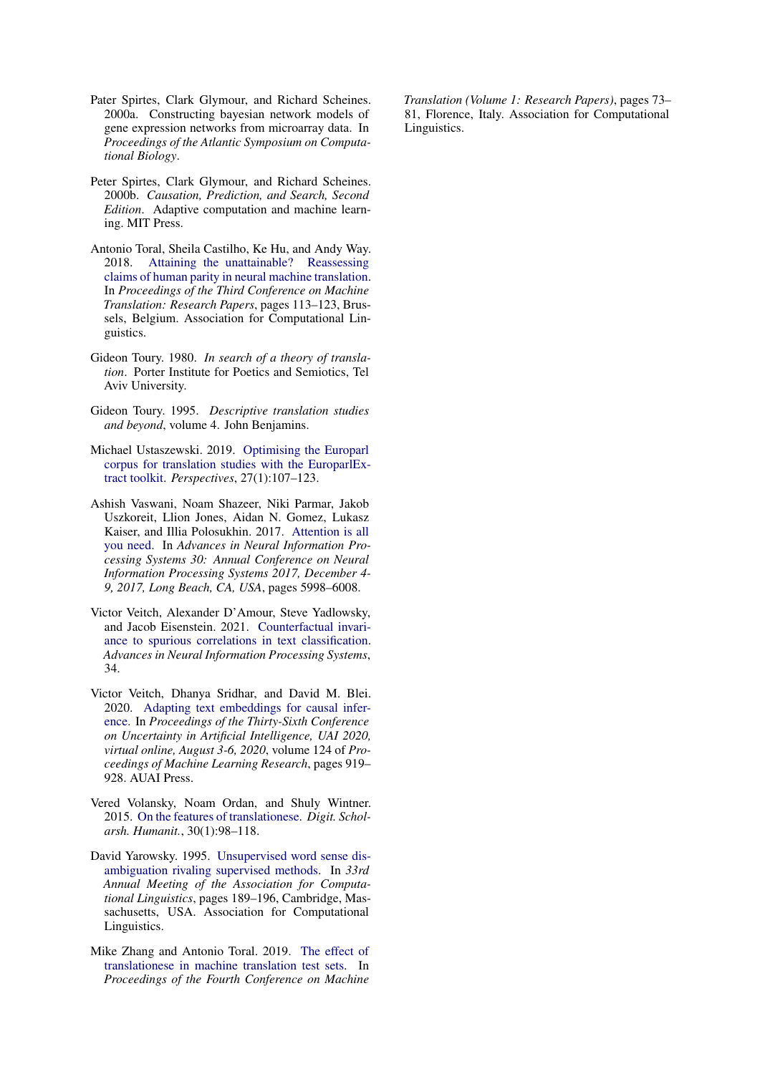- <span id="page-13-10"></span>Pater Spirtes, Clark Glymour, and Richard Scheines. 2000a. Constructing bayesian network models of gene expression networks from microarray data. In *Proceedings of the Atlantic Symposium on Computational Biology*.
- <span id="page-13-11"></span>Peter Spirtes, Clark Glymour, and Richard Scheines. 2000b. *Causation, Prediction, and Search, Second Edition*. Adaptive computation and machine learning. MIT Press.
- <span id="page-13-2"></span>Antonio Toral, Sheila Castilho, Ke Hu, and Andy Way. 2018. [Attaining the unattainable? Reassessing](https://doi.org/10.18653/v1/W18-6312) [claims of human parity in neural machine translation.](https://doi.org/10.18653/v1/W18-6312) In *Proceedings of the Third Conference on Machine Translation: Research Papers*, pages 113–123, Brussels, Belgium. Association for Computational Linguistics.
- <span id="page-13-0"></span>Gideon Toury. 1980. *In search of a theory of translation*. Porter Institute for Poetics and Semiotics, Tel Aviv University.
- <span id="page-13-1"></span>Gideon Toury. 1995. *Descriptive translation studies and beyond*, volume 4. John Benjamins.
- <span id="page-13-5"></span>Michael Ustaszewski. 2019. [Optimising the Europarl](https://doi.org/10.1080/0907676X.2018.1485716) [corpus for translation studies with the EuroparlEx](https://doi.org/10.1080/0907676X.2018.1485716)[tract toolkit.](https://doi.org/10.1080/0907676X.2018.1485716) *Perspectives*, 27(1):107–123.
- <span id="page-13-7"></span>Ashish Vaswani, Noam Shazeer, Niki Parmar, Jakob Uszkoreit, Llion Jones, Aidan N. Gomez, Lukasz Kaiser, and Illia Polosukhin. 2017. [Attention is all](https://proceedings.neurips.cc/paper/2017/hash/3f5ee243547dee91fbd053c1c4a845aa-Abstract.html) [you need.](https://proceedings.neurips.cc/paper/2017/hash/3f5ee243547dee91fbd053c1c4a845aa-Abstract.html) In *Advances in Neural Information Processing Systems 30: Annual Conference on Neural Information Processing Systems 2017, December 4- 9, 2017, Long Beach, CA, USA*, pages 5998–6008.
- <span id="page-13-3"></span>Victor Veitch, Alexander D'Amour, Steve Yadlowsky, and Jacob Eisenstein. 2021. [Counterfactual invari](https://proceedings.neurips.cc/paper/2021/file/8710ef761bbb29a6f9d12e4ef8e4379c-Paper.pdf)[ance to spurious correlations in text classification.](https://proceedings.neurips.cc/paper/2021/file/8710ef761bbb29a6f9d12e4ef8e4379c-Paper.pdf) *Advances in Neural Information Processing Systems*, 34.
- <span id="page-13-9"></span>Victor Veitch, Dhanya Sridhar, and David M. Blei. 2020. [Adapting text embeddings for causal infer](http://proceedings.mlr.press/v124/veitch20a.html)[ence.](http://proceedings.mlr.press/v124/veitch20a.html) In *Proceedings of the Thirty-Sixth Conference on Uncertainty in Artificial Intelligence, UAI 2020, virtual online, August 3-6, 2020*, volume 124 of *Proceedings of Machine Learning Research*, pages 919– 928. AUAI Press.
- <span id="page-13-6"></span>Vered Volansky, Noam Ordan, and Shuly Wintner. 2015. [On the features of translationese.](https://doi.org/10.1093/llc/fqt031) *Digit. Scholarsh. Humanit.*, 30(1):98–118.
- <span id="page-13-8"></span>David Yarowsky. 1995. [Unsupervised word sense dis](https://doi.org/10.3115/981658.981684)[ambiguation rivaling supervised methods.](https://doi.org/10.3115/981658.981684) In *33rd Annual Meeting of the Association for Computational Linguistics*, pages 189–196, Cambridge, Massachusetts, USA. Association for Computational Linguistics.
- <span id="page-13-4"></span>Mike Zhang and Antonio Toral. 2019. [The effect of](https://doi.org/10.18653/v1/W19-5208) [translationese in machine translation test sets.](https://doi.org/10.18653/v1/W19-5208) In *Proceedings of the Fourth Conference on Machine*

*Translation (Volume 1: Research Papers)*, pages 73– 81, Florence, Italy. Association for Computational Linguistics.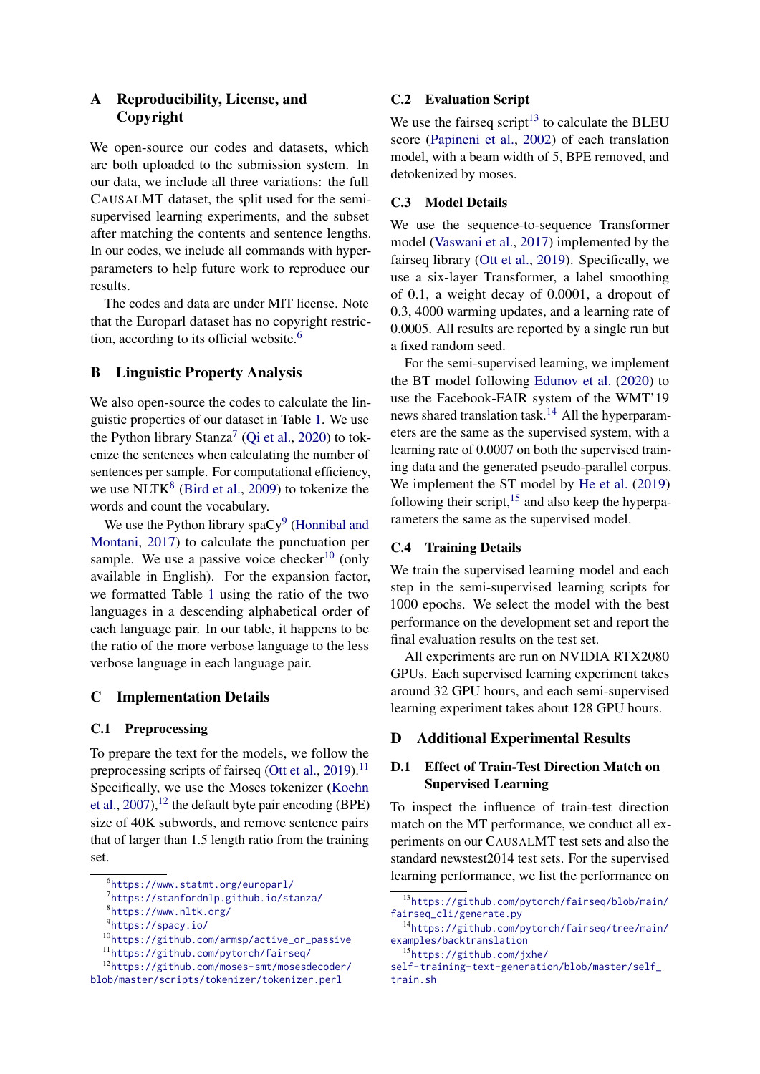# A Reproducibility, License, and Copyright

We open-source our codes and datasets, which are both uploaded to the submission system. In our data, we include all three variations: the full CAUSALMT dataset, the split used for the semisupervised learning experiments, and the subset after matching the contents and sentence lengths. In our codes, we include all commands with hyperparameters to help future work to reproduce our results.

The codes and data are under MIT license. Note that the Europarl dataset has no copyright restric-tion, according to its official website.<sup>[6](#page-14-2)</sup>

# <span id="page-14-0"></span>B Linguistic Property Analysis

We also open-source the codes to calculate the linguistic properties of our dataset in Table [1.](#page-2-0) We use the Python library Stanza<sup>[7](#page-14-3)</sup> [\(Qi et al.,](#page-12-21) [2020\)](#page-12-21) to tokenize the sentences when calculating the number of sentences per sample. For computational efficiency, we use  $NLTK^8$  $NLTK^8$  [\(Bird et al.,](#page-10-17) [2009\)](#page-10-17) to tokenize the words and count the vocabulary.

We use the Python library spa $Cy^{9}$  $Cy^{9}$  $Cy^{9}$  [\(Honnibal and](#page-11-14) [Montani,](#page-11-14) [2017\)](#page-11-14) to calculate the punctuation per sample. We use a passive voice checker<sup>[10](#page-14-6)</sup> (only available in English). For the expansion factor, we formatted Table [1](#page-2-0) using the ratio of the two languages in a descending alphabetical order of each language pair. In our table, it happens to be the ratio of the more verbose language to the less verbose language in each language pair.

# <span id="page-14-1"></span>C Implementation Details

#### C.1 Preprocessing

To prepare the text for the models, we follow the preprocessing scripts of fairseq [\(Ott et al.,](#page-12-9) [2019\)](#page-12-9).<sup>[11](#page-14-7)</sup> Specifically, we use the Moses tokenizer [\(Koehn](#page-11-15) [et al.,](#page-11-15)  $2007$ ), <sup>[12](#page-14-8)</sup> the default byte pair encoding (BPE) size of 40K subwords, and remove sentence pairs that of larger than 1.5 length ratio from the training set.

### C.2 Evaluation Script

We use the fairseq script<sup>[13](#page-14-9)</sup> to calculate the BLEU score [\(Papineni et al.,](#page-12-10) [2002\)](#page-12-10) of each translation model, with a beam width of 5, BPE removed, and detokenized by moses.

### C.3 Model Details

We use the sequence-to-sequence Transformer model [\(Vaswani et al.,](#page-13-7) [2017\)](#page-13-7) implemented by the fairseq library [\(Ott et al.,](#page-12-9) [2019\)](#page-12-9). Specifically, we use a six-layer Transformer, a label smoothing of 0.1, a weight decay of 0.0001, a dropout of 0.3, 4000 warming updates, and a learning rate of 0.0005. All results are reported by a single run but a fixed random seed.

For the semi-supervised learning, we implement the BT model following [Edunov et al.](#page-10-3) [\(2020\)](#page-10-3) to use the Facebook-FAIR system of the WMT'19 news shared translation task.<sup>[14](#page-14-10)</sup> All the hyperparameters are the same as the supervised system, with a learning rate of 0.0007 on both the supervised training data and the generated pseudo-parallel corpus. We implement the ST model by [He et al.](#page-11-6) [\(2019\)](#page-11-6) following their script, $15$  and also keep the hyperparameters the same as the supervised model.

#### C.4 Training Details

We train the supervised learning model and each step in the semi-supervised learning scripts for 1000 epochs. We select the model with the best performance on the development set and report the final evaluation results on the test set.

All experiments are run on NVIDIA RTX2080 GPUs. Each supervised learning experiment takes around 32 GPU hours, and each semi-supervised learning experiment takes about 128 GPU hours.

# D Additional Experimental Results

# D.1 Effect of Train-Test Direction Match on Supervised Learning

To inspect the influence of train-test direction match on the MT performance, we conduct all experiments on our CAUSALMT test sets and also the standard newstest2014 test sets. For the supervised learning performance, we list the performance on

<span id="page-14-2"></span><sup>6</sup> <https://www.statmt.org/europarl/>

<span id="page-14-3"></span> $^7$ https://stanfordn $\ln$ .github.io/stanza/

<span id="page-14-4"></span><sup>8</sup> <https://www.nltk.org/>

<span id="page-14-5"></span><sup>&</sup>lt;sup>9</sup><https://spacy.io/>

<span id="page-14-6"></span><sup>10</sup>[https://github.com/armsp/active\\_or\\_passive](https://github.com/armsp/active_or_passive)

<span id="page-14-8"></span><span id="page-14-7"></span><sup>11</sup><https://github.com/pytorch/fairseq/>

<sup>12</sup>[https://github.com/moses-smt/mosesdecoder/](https://github.com/moses-smt/mosesdecoder/blob/master/scripts/tokenizer/tokenizer.perl) [blob/master/scripts/tokenizer/tokenizer.perl](https://github.com/moses-smt/mosesdecoder/blob/master/scripts/tokenizer/tokenizer.perl)

<span id="page-14-9"></span><sup>13</sup>[https://github.com/pytorch/fairseq/blob/main/](https://github.com/pytorch/fairseq/blob/main/fairseq_cli/generate.py) [fairseq\\_cli/generate.py](https://github.com/pytorch/fairseq/blob/main/fairseq_cli/generate.py)

<span id="page-14-10"></span><sup>14</sup>[https://github.com/pytorch/fairseq/tree/main/](https://github.com/pytorch/fairseq/tree/main/examples/backtranslation) [examples/backtranslation](https://github.com/pytorch/fairseq/tree/main/examples/backtranslation)

<span id="page-14-11"></span><sup>15</sup>[https://github.com/jxhe/](https://github.com/jxhe/self-training-text-generation/blob/master/self_train.sh)

[self-training-text-generation/blob/master/self\\_](https://github.com/jxhe/self-training-text-generation/blob/master/self_train.sh) [train.sh](https://github.com/jxhe/self-training-text-generation/blob/master/self_train.sh)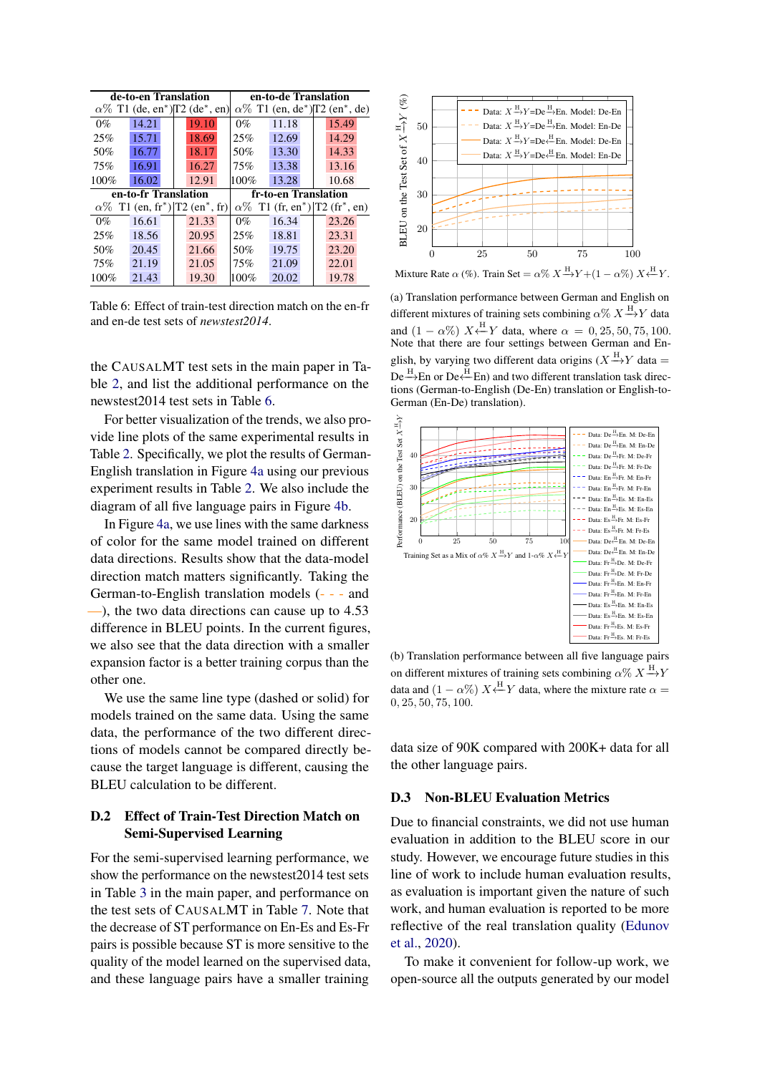<span id="page-15-0"></span>

|       | de-to-en Translation |                                                                           | en-to-de Translation |                      |                                                                           |  |  |  |
|-------|----------------------|---------------------------------------------------------------------------|----------------------|----------------------|---------------------------------------------------------------------------|--|--|--|
|       |                      | $\alpha\%$ T1 (de, en <sup>*</sup> ) <sup>T2</sup> (de <sup>*</sup> , en) |                      |                      | $\alpha\%$ T1 (en, de <sup>*</sup> ) <sup>T2</sup> (en <sup>*</sup> , de) |  |  |  |
| $0\%$ | 14.21                | 19.10                                                                     | $0\%$                | 11.18                | 15.49                                                                     |  |  |  |
| 25%   | 15.71                | 18.69                                                                     | 25%                  | 12.69                | 14.29                                                                     |  |  |  |
| 50%   | 16.77                | 18.17                                                                     | 50%                  | 13.30                | 14.33                                                                     |  |  |  |
| 75%   | 16.91                | 16.27                                                                     | 75%                  | 13.38                | 13.16                                                                     |  |  |  |
| 100%  | 16.02                | 12.91                                                                     | 100%                 | 13.28                | 10.68                                                                     |  |  |  |
|       |                      |                                                                           |                      |                      |                                                                           |  |  |  |
|       | en-to-fr Translation |                                                                           |                      | fr-to-en Translation |                                                                           |  |  |  |
|       |                      | $\alpha\%$ T1 (en, fr <sup>*</sup> ) T2 (en <sup>*</sup> , fr)            |                      |                      | $\alpha\%$ T1 (fr, en <sup>*</sup> ) T2 (fr <sup>*</sup> , en)            |  |  |  |
| $0\%$ | 16.61                | 21.33                                                                     | $0\%$                | 16.34                | 23.26                                                                     |  |  |  |
| 25%   | 18.56                | 20.95                                                                     | 25%                  | 18.81                | 23.31                                                                     |  |  |  |
| 50%   | 20.45                | 21.66                                                                     | 50%                  | 19.75                | 23.20                                                                     |  |  |  |
| 75%   | 21.19                | 21.05                                                                     | 75%                  | 21.09                | 22.01                                                                     |  |  |  |

Table 6: Effect of train-test direction match on the en-fr and en-de test sets of *newstest2014*.

the CAUSALMT test sets in the main paper in Table [2,](#page-3-1) and list the additional performance on the newstest2014 test sets in Table [6.](#page-15-0)

For better visualization of the trends, we also provide line plots of the same experimental results in Table [2.](#page-3-1) Specifically, we plot the results of German-English translation in Figure [4a](#page-15-2) using our previous experiment results in Table [2.](#page-3-1) We also include the diagram of all five language pairs in Figure [4b.](#page-15-2)

In Figure [4a,](#page-15-2) we use lines with the same darkness of color for the same model trained on different data directions. Results show that the data-model direction match matters significantly. Taking the German-to-English translation models (- - - and —), the two data directions can cause up to 4.53 difference in BLEU points. In the current figures, we also see that the data direction with a smaller expansion factor is a better training corpus than the other one.

We use the same line type (dashed or solid) for models trained on the same data. Using the same data, the performance of the two different directions of models cannot be compared directly because the target language is different, causing the BLEU calculation to be different.

# D.2 Effect of Train-Test Direction Match on Semi-Supervised Learning

For the semi-supervised learning performance, we show the performance on the newstest2014 test sets in Table [3](#page-4-0) in the main paper, and performance on the test sets of CAUSALMT in Table [7.](#page-16-0) Note that the decrease of ST performance on En-Es and Es-Fr pairs is possible because ST is more sensitive to the quality of the model learned on the supervised data, and these language pairs have a smaller training

<span id="page-15-2"></span>

Mixture Rate  $\alpha$  (%). Train Set =  $\alpha$ %  $X \rightarrow Y + (1 - \alpha)$ %) X

(a) Translation performance between German and English on different mixtures of training sets combining  $\alpha$ %  $X \rightarrow Y$  data and  $(1 - \alpha\%) X \stackrel{\text{H}}{\leftarrow} Y$  data, where  $\alpha = 0, 25, 50, 75, 100$ . Note that there are four settings between German and English, by varying two different data origins ( $X \xrightarrow{H} Y$  data =  $De \xrightarrow{H}$ En or De  $\leftarrow$ En) and two different translation task directions (German-to-English (De-En) translation or English-to-German (En-De) translation).



(b) Translation performance between all five language pairs on different mixtures of training sets combining  $\alpha$ %  $X \xrightarrow{H} Y$ data and  $(1 - \alpha\%) X \leftarrow Y$  data, where the mixture rate  $\alpha =$ 0, 25, 50, 75, 100.

data size of 90K compared with 200K+ data for all the other language pairs.

# <span id="page-15-1"></span>D.3 Non-BLEU Evaluation Metrics

Due to financial constraints, we did not use human evaluation in addition to the BLEU score in our study. However, we encourage future studies in this line of work to include human evaluation results, as evaluation is important given the nature of such work, and human evaluation is reported to be more reflective of the real translation quality [\(Edunov](#page-10-3) [et al.,](#page-10-3) [2020\)](#page-10-3).

To make it convenient for follow-up work, we open-source all the outputs generated by our model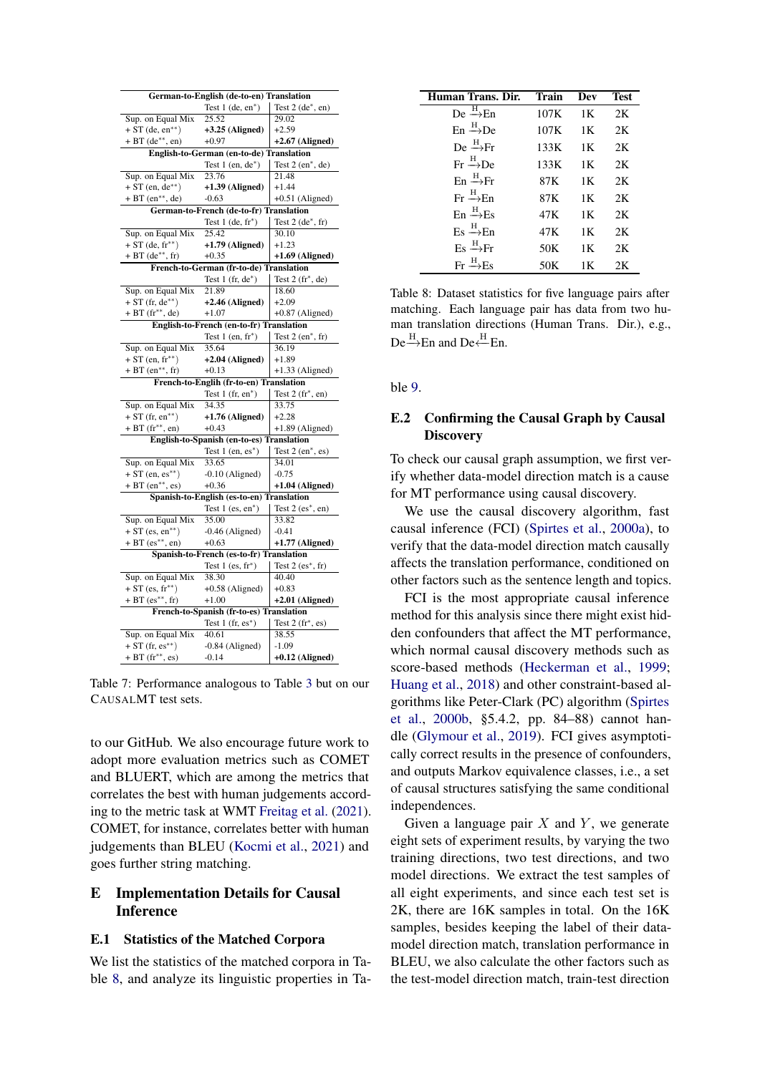<span id="page-16-0"></span>

| German-to-English (de-to-en) Translation     |                                           |                                 |  |  |  |  |  |  |  |
|----------------------------------------------|-------------------------------------------|---------------------------------|--|--|--|--|--|--|--|
|                                              | Test $1$ (de, en <sup>*</sup> )           | Test $2$ (de <sup>*</sup> , en) |  |  |  |  |  |  |  |
| Sup. on Equal Mix                            | 25.52                                     | 29.02                           |  |  |  |  |  |  |  |
| $+ ST$ (de, en <sup>**</sup> )               | $+3.25$ (Aligned)                         | $+2.59$                         |  |  |  |  |  |  |  |
| $+ BT (de**, en)$                            | $+0.97$                                   | $+2.67$ (Aligned)               |  |  |  |  |  |  |  |
|                                              | English-to-German (en-to-de) Translation  |                                 |  |  |  |  |  |  |  |
|                                              | Test $1$ (en, $de^*$ )                    | Test $2$ (en <sup>*</sup> , de) |  |  |  |  |  |  |  |
| Sup. on Equal Mix                            | 23.76                                     | 21.48                           |  |  |  |  |  |  |  |
| $+ ST(en, de^{**})$                          | $+1.39$ (Aligned)                         | $+1.44$                         |  |  |  |  |  |  |  |
| $+ BT (en**, de)$                            | $-0.63$                                   | $+0.51$ (Aligned)               |  |  |  |  |  |  |  |
| German-to-French (de-to-fr) Translation      |                                           |                                 |  |  |  |  |  |  |  |
|                                              | Test $1$ (de, $fr*$ )                     | Test 2 (de*, fr)                |  |  |  |  |  |  |  |
| Sup. on Equal Mix                            | 25.42                                     | 30.10                           |  |  |  |  |  |  |  |
| $+ ST$ (de, fr**)                            | $+1.79$ (Aligned)                         | $+1.23$                         |  |  |  |  |  |  |  |
| $+ BT (de**, fr)$                            | $+0.35$                                   | $+1.69$ (Aligned)               |  |  |  |  |  |  |  |
|                                              | French-to-German (fr-to-de) Translation   |                                 |  |  |  |  |  |  |  |
|                                              | Test $1$ (fr, $de^*$ )                    | Test $2(fr^*, de)$              |  |  |  |  |  |  |  |
| Sup. on Equal Mix                            | 21.89                                     | 18.60                           |  |  |  |  |  |  |  |
| $+ ST (fr, de^{**})$                         | $+2.46$ (Aligned)                         | $+2.09$                         |  |  |  |  |  |  |  |
| $+ BT (fr**, de)$                            | $+1.07$                                   | $+0.87$ (Aligned)               |  |  |  |  |  |  |  |
|                                              | English-to-French (en-to-fr) Translation  |                                 |  |  |  |  |  |  |  |
|                                              | Test $1$ (en, $fr*$ )                     | Test $2$ (en <sup>*</sup> , fr) |  |  |  |  |  |  |  |
| Sup. on Equal Mix                            | 35.64                                     | 36.19                           |  |  |  |  |  |  |  |
| $+ ST$ (en, fr**)                            | $+2.04$ (Aligned)                         | $+1.89$                         |  |  |  |  |  |  |  |
| + BT $(en^{**}, fr)$                         | $+0.13$                                   | $+1.33$ (Aligned)               |  |  |  |  |  |  |  |
|                                              | French-to-Englih (fr-to-en) Translation   |                                 |  |  |  |  |  |  |  |
|                                              | Test $1$ (fr, en <sup>*</sup> )           | Test $2(fr^*, en)$              |  |  |  |  |  |  |  |
| Sup. on Equal Mix                            | 34.35                                     | 33.75                           |  |  |  |  |  |  |  |
| $+ ST$ (fr, en <sup>**</sup> )               | $+1.76$ (Aligned)                         | $+2.28$                         |  |  |  |  |  |  |  |
|                                              |                                           |                                 |  |  |  |  |  |  |  |
| $+ BT (fr**, en)$                            | $+0.43$                                   | $+1.89$ (Aligned)               |  |  |  |  |  |  |  |
|                                              | English-to-Spanish (en-to-es) Translation |                                 |  |  |  |  |  |  |  |
|                                              | Test $1$ (en, es <sup>*</sup> )           | Test 2 (en*, es)                |  |  |  |  |  |  |  |
| Sup. on Equal Mix                            | 33.65                                     | 34.01                           |  |  |  |  |  |  |  |
| $+ ST$ (en, es**)                            | $-0.10$ (Aligned)                         | $-0.75$                         |  |  |  |  |  |  |  |
| $+ BT (en**, es)$                            | $+0.36$                                   | $+1.04$ (Aligned)               |  |  |  |  |  |  |  |
|                                              | Spanish-to-English (es-to-en) Translation |                                 |  |  |  |  |  |  |  |
|                                              | Test $1$ (es, $en^*$ )                    | Test $2$ (es <sup>*</sup> , en) |  |  |  |  |  |  |  |
| Sup. on Equal Mix                            | 35.00                                     | 33.82                           |  |  |  |  |  |  |  |
| $+ ST$ (es, en <sup>**</sup> )               | $-0.46$ (Aligned)                         | $-0.41$                         |  |  |  |  |  |  |  |
| $+ BT (es**, en)$                            | $+0.63$                                   | $+1.77$ (Aligned)               |  |  |  |  |  |  |  |
|                                              | Spanish-to-French (es-to-fr) Translation  |                                 |  |  |  |  |  |  |  |
|                                              | Test $1$ (es, $fr*$ )                     | Test $2$ (es <sup>*</sup> , fr) |  |  |  |  |  |  |  |
| Sup. on Equal Mix                            | 38.30                                     | 40.40                           |  |  |  |  |  |  |  |
| $+ ST (es, fr^{**})$                         | $+0.58$ (Aligned)                         | $+0.83$                         |  |  |  |  |  |  |  |
| $+ BT (es**, fr)$                            | $+1.00$                                   | $+2.01$ (Aligned)               |  |  |  |  |  |  |  |
|                                              | French-to-Spanish (fr-to-es) Translation  |                                 |  |  |  |  |  |  |  |
|                                              | Test $1$ (fr, es <sup>*</sup> )           | Test $2(fr^*,es)$               |  |  |  |  |  |  |  |
| Sup. on Equal Mix                            | 40.61                                     | 38.55                           |  |  |  |  |  |  |  |
| $+ ST (fr, es^{**})$<br>+ BT $(fr^{**}, es)$ | $-0.84$ (Aligned)<br>$-0.14$              | $-1.09$<br>$+0.12$ (Aligned)    |  |  |  |  |  |  |  |

Table 7: Performance analogous to Table [3](#page-4-0) but on our CAUSALMT test sets.

to our GitHub. We also encourage future work to adopt more evaluation metrics such as COMET and BLUERT, which are among the metrics that correlates the best with human judgements according to the metric task at WMT [Freitag et al.](#page-10-18) [\(2021\)](#page-10-18). COMET, for instance, correlates better with human judgements than BLEU [\(Kocmi et al.,](#page-11-16) [2021\)](#page-11-16) and goes further string matching.

# E Implementation Details for Causal Inference

# <span id="page-16-1"></span>E.1 Statistics of the Matched Corpora

We list the statistics of the matched corpora in Table [8,](#page-16-2) and analyze its linguistic properties in Ta-

<span id="page-16-2"></span>

| Human Trans. Dir.                     | Train | Dev | <b>Test</b> |
|---------------------------------------|-------|-----|-------------|
| $De \stackrel{H}{\longrightarrow} En$ | 107K  | 1K  | 2K          |
| $En \xrightarrow{H} De$               | 107K  | 1K  | 2K          |
| $De \rightarrow Fr$                   | 133K  | 1 K | 2K          |
| $Fr \xrightarrow{H} De$               | 133K  | 1K  | 2K          |
| $En \xrightarrow{H} Fr$               | 87K   | 1K  | 2K          |
| $Fr \xrightarrow{H} En$               | 87K   | 1K  | 2K          |
| $En \xrightarrow{H} Es$               | 47K   | 1 K | 2K          |
| $Es \xrightarrow{H} En$               | 47K   | 1K  | 2K          |
| $Es \xrightarrow{H} Fr$               | 50K   | 1Κ  | 2K          |
| $Fr \xrightarrow{H} Fs$               | 50K   | 1Κ  | 2K          |

Table 8: Dataset statistics for five language pairs after matching. Each language pair has data from two human translation directions (Human Trans. Dir.), e.g.,  $De \xrightarrow{H} En$  and  $De \xleftarrow{H} En$ .

ble [9.](#page-17-0)

# E.2 Confirming the Causal Graph by Causal **Discovery**

To check our causal graph assumption, we first verify whether data-model direction match is a cause for MT performance using causal discovery.

We use the causal discovery algorithm, fast causal inference (FCI) [\(Spirtes et al.,](#page-13-10) [2000a\)](#page-13-10), to verify that the data-model direction match causally affects the translation performance, conditioned on other factors such as the sentence length and topics.

FCI is the most appropriate causal inference method for this analysis since there might exist hidden confounders that affect the MT performance, which normal causal discovery methods such as score-based methods [\(Heckerman et al.,](#page-11-17) [1999;](#page-11-17) [Huang et al.,](#page-11-18) [2018\)](#page-11-18) and other constraint-based algorithms like Peter-Clark (PC) algorithm [\(Spirtes](#page-13-11) [et al.,](#page-13-11) [2000b,](#page-13-11) §5.4.2, pp. 84–88) cannot handle [\(Glymour et al.,](#page-11-19) [2019\)](#page-11-19). FCI gives asymptotically correct results in the presence of confounders, and outputs Markov equivalence classes, i.e., a set of causal structures satisfying the same conditional independences.

Given a language pair  $X$  and  $Y$ , we generate eight sets of experiment results, by varying the two training directions, two test directions, and two model directions. We extract the test samples of all eight experiments, and since each test set is 2K, there are 16K samples in total. On the 16K samples, besides keeping the label of their datamodel direction match, translation performance in BLEU, we also calculate the other factors such as the test-model direction match, train-test direction